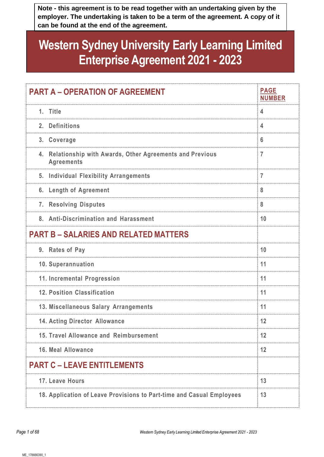**Note - this agreement is to be read together with an undertaking given by the employer. The undertaking is taken to be a term of the agreement. A copy of it can be found at the end of the agreement.**

# **Western Sydney University Early Learning Limited Enterprise Agreement 2021 - 2023**

| <b>PART A - OPERATION OF AGREEMENT</b>                                             | <b>PAGE</b><br><b>NUMBER</b> |
|------------------------------------------------------------------------------------|------------------------------|
| 1. Title                                                                           | 4                            |
| 2. Definitions                                                                     | 4                            |
| 3. Coverage                                                                        | 6                            |
| Relationship with Awards, Other Agreements and Previous<br>4.<br><b>Agreements</b> | $\overline{7}$               |
| 5. Individual Flexibility Arrangements                                             | $\overline{7}$               |
| <b>Length of Agreement</b><br>6.                                                   | 8                            |
| 7. Resolving Disputes                                                              | 8                            |
| 8. Anti-Discrimination and Harassment                                              | 10                           |
| <b>PART B - SALARIES AND RELATED MATTERS</b>                                       |                              |
| 9. Rates of Pay                                                                    | 10                           |
| 10. Superannuation                                                                 | 11                           |
| 11. Incremental Progression                                                        | 11                           |
| 12. Position Classification                                                        | 11                           |
| 13. Miscellaneous Salary Arrangements                                              | 11                           |
| <b>14. Acting Director Allowance</b>                                               | 12                           |
| 15. Travel Allowance and Reimbursement                                             | 12                           |
| 16. Meal Allowance                                                                 | 12                           |
| <b>PART C – LEAVE ENTITLEMENTS</b>                                                 |                              |
| 17. Leave Hours                                                                    | 13                           |
| 18. Application of Leave Provisions to Part-time and Casual Employees              | 13                           |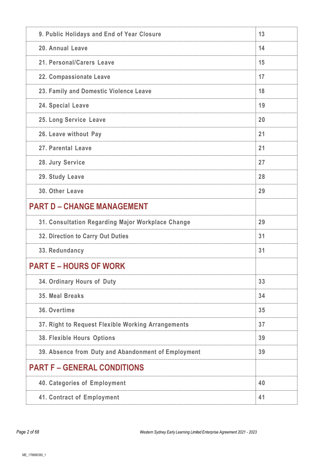| 9. Public Holidays and End of Year Closure          | 13 |
|-----------------------------------------------------|----|
| 20. Annual Leave                                    | 14 |
| 21. Personal/Carers Leave                           | 15 |
| 22. Compassionate Leave                             | 17 |
| 23. Family and Domestic Violence Leave              | 18 |
| 24. Special Leave                                   | 19 |
| 25. Long Service Leave                              | 20 |
| 26. Leave without Pay                               | 21 |
| 27. Parental Leave                                  | 21 |
| 28. Jury Service                                    | 27 |
| 29. Study Leave                                     | 28 |
| 30. Other Leave                                     | 29 |
| <b>PART D - CHANGE MANAGEMENT</b>                   |    |
| 31. Consultation Regarding Major Workplace Change   | 29 |
| 32. Direction to Carry Out Duties                   | 31 |
| 33. Redundancy                                      | 31 |
| <b>PART E – HOURS OF WORK</b>                       |    |
| 34. Ordinary Hours of Duty                          | 33 |
| 35. Meal Breaks                                     |    |
|                                                     | 34 |
| 36. Overtime                                        | 35 |
| 37. Right to Request Flexible Working Arrangements  | 37 |
| <b>38. Flexible Hours Options</b>                   | 39 |
| 39. Absence from Duty and Abandonment of Employment | 39 |
| <b>PART F - GENERAL CONDITIONS</b>                  |    |
| 40. Categories of Employment                        | 40 |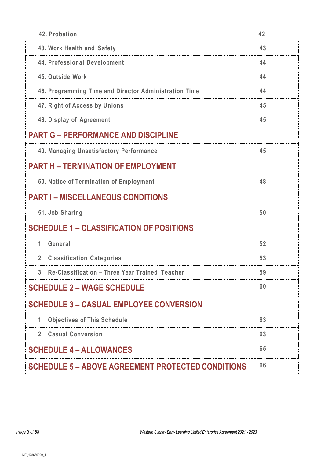| 42. Probation                                            | 42 |
|----------------------------------------------------------|----|
| 43. Work Health and Safety                               | 43 |
| 44. Professional Development                             | 44 |
| 45. Outside Work                                         | 44 |
| 46. Programming Time and Director Administration Time    | 44 |
| 47. Right of Access by Unions                            | 45 |
| 48. Display of Agreement                                 | 45 |
| <b>PART G - PERFORMANCE AND DISCIPLINE</b>               |    |
| 49. Managing Unsatisfactory Performance                  | 45 |
| <b>PART H - TERMINATION OF EMPLOYMENT</b>                |    |
| 50. Notice of Termination of Employment                  | 48 |
| <b>PART I – MISCELLANEOUS CONDITIONS</b>                 |    |
| 51. Job Sharing                                          | 50 |
| <b>SCHEDULE 1 - CLASSIFICATION OF POSITIONS</b>          |    |
| 1. General                                               | 52 |
| <b>Classification Categories</b><br>2 <sub>1</sub>       | 53 |
| 3. Re-Classification - Three Year Trained Teacher        | 59 |
| <b>SCHEDULE 2 - WAGE SCHEDULE</b>                        | 60 |
| <b>SCHEDULE 3 - CASUAL EMPLOYEE CONVERSION</b>           |    |
| 1. Objectives of This Schedule                           | 63 |
| 2. Casual Conversion                                     | 63 |
| <b>SCHEDULE 4 - ALLOWANCES</b>                           | 65 |
| <b>SCHEDULE 5 - ABOVE AGREEMENT PROTECTED CONDITIONS</b> | 66 |
|                                                          |    |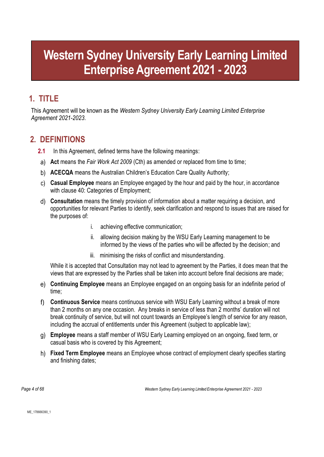# **Western Sydney University Early Learning Limited Enterprise Agreement 2021 - 2023**

# <span id="page-3-0"></span>**1. TITLE**

This Agreement will be known as the *Western Sydney University Early Learning Limited Enterprise Agreement 2021-2023*.

# <span id="page-3-1"></span>**2. DEFINITIONS**

- **2.1** In this Agreement, defined terms have the following meanings:
- **Act** means the *Fair Work Act 2009* (Cth) as amended or replaced from time to time;
- **ACECQA** means the Australian Children's Education Care Quality Authority;
- **Casual Employee** means an Employee engaged by the hour and paid by the hour, in accordance with clause [40:](#page-39-0) Categories of Employment;
- **Consultation** means the timely provision of information about a matter requiring a decision, and opportunities for relevant Parties to identify, seek clarification and respond to issues that are raised for the purposes of:
	- i. achieving effective communication;
	- ii. allowing decision making by the WSU Early Learning management to be informed by the views of the parties who will be affected by the decision; and
	- iii. minimising the risks of conflict and misunderstanding.

While it is accepted that Consultation may not lead to agreement by the Parties, it does mean that the views that are expressed by the Parties shall be taken into account before final decisions are made;

- **Continuing Employee** means an Employee engaged on an ongoing basis for an indefinite period of time;
- f) **Continuous Service** means continuous service with WSU Early Learning without a break of more than 2 months on any one occasion. Any breaks in service of less than 2 months' duration will not break continuity of service, but will not count towards an Employee's length of service for any reason, including the accrual of entitlements under this Agreement (subject to applicable law);
- **Employee** means a staff member of WSU Early Learning employed on an ongoing, fixed term, or casual basis who is covered by this Agreement;
- **Fixed Term Employee** means an Employee whose contract of employment clearly specifies starting and finishing dates;

*Page 4 of 68 Western Sydney Early Learning Limited Enterprise Agreement 2021 - 2023*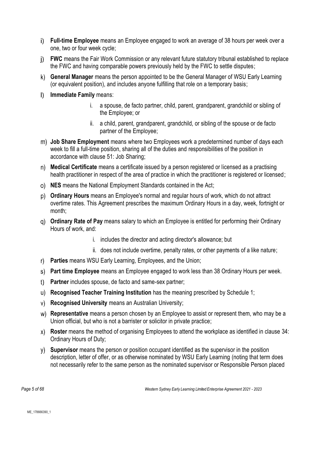- **Full-time Employee** means an Employee engaged to work an average of 38 hours per week over a one, two or four week cycle;
- **FWC** means the Fair Work Commission or any relevant future statutory tribunal established to replace the FWC and having comparable powers previously held by the FWC to settle disputes;
- **General Manager** means the person appointed to be the General Manager of WSU Early Learning (or equivalent position), and includes anyone fulfilling that role on a temporary basis;
- **Immediate Family** means:
	- i. a spouse, de facto partner, child, parent, grandparent, grandchild or sibling of the Employee; or
	- ii. a child, parent, grandparent, grandchild, or sibling of the spouse or de facto partner of the Employee;
- **Job Share Employment** means where two Employees work a predetermined number of days each week to fill a full-time position, sharing all of the duties and responsibilities of the position in accordance with clause [51:](#page-49-0) Job Sharing;
- **Medical Certificate** means a certificate issued by a person registered or licensed as a practising health practitioner in respect of the area of practice in which the practitioner is registered or licensed;
- **NES** means the National Employment Standards contained in the Act;
- **Ordinary Hours** means an Employee's normal and regular hours of work, which do not attract overtime rates. This Agreement prescribes the maximum Ordinary Hours in a day, week, fortnight or month;
- **Ordinary Rate of Pay** means salary to which an Employee is entitled for performing their Ordinary Hours of work, and:
	- i. includes the director and acting director's allowance; but
	- ii. does not include overtime, penalty rates, or other payments of a like nature;
- **Parties** means WSU Early Learning, Employees, and the Union;
- **Part time Employee** means an Employee engaged to work less than 38 Ordinary Hours per week.
- **Partner** includes spouse, de facto and same-sex partner;
- **Recognised Teacher Training Institution** has the meaning prescribed by Schedule 1;
- **Recognised University** means an Australian University;
- **Representative** means a person chosen by an Employee to assist or represent them, who may be a Union official, but who is not a barrister or solicitor in private practice;
- **Roster** means the method of organising Employees to attend the workplace as identified in clause [34:](#page-32-0) Ordinary Hours of Duty;
- **Supervisor** means the person or position occupant identified as the supervisor in the position description, letter of offer, or as otherwise nominated by WSU Early Learning (noting that term does not necessarily refer to the same person as the nominated supervisor or Responsible Person placed

*Page 5 of 68 Western Sydney Early Learning Limited Enterprise Agreement 2021 - 2023*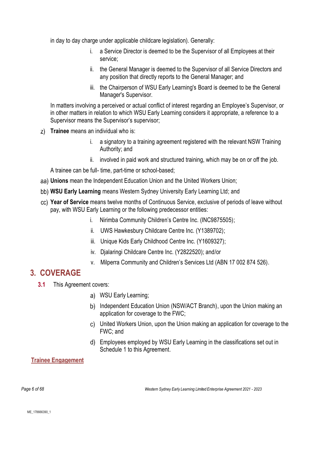in day to day charge under applicable childcare legislation). Generally:

- i. a Service Director is deemed to be the Supervisor of all Employees at their service;
- ii. the General Manager is deemed to the Supervisor of all Service Directors and any position that directly reports to the General Manager; and
- iii. the Chairperson of WSU Early Learning's Board is deemed to be the General Manager's Supervisor.

In matters involving a perceived or actual conflict of interest regarding an Employee's Supervisor, or in other matters in relation to which WSU Early Learning considers it appropriate, a reference to a Supervisor means the Supervisor's supervisor;

- **Trainee** means an individual who is:
	- i. a signatory to a training agreement registered with the relevant NSW Training Authority; and
	- ii. involved in paid work and structured training, which may be on or off the job.

A trainee can be full- time, part-time or school-based;

- **Unions** mean the Independent Education Union and the United Workers Union;
- **WSU Early Learning** means Western Sydney University Early Learning Ltd; and
- **Year of Service** means twelve months of Continuous Service, exclusive of periods of leave without pay, with WSU Early Learning or the following predecessor entities:
	- i. Nirimba Community Children's Centre Inc. (INC9875505);
	- ii. UWS Hawkesbury Childcare Centre Inc. (Y1389702);
	- iii. Unique Kids Early Childhood Centre Inc. (Y1609327);
	- iv. Djalaringi Childcare Centre Inc. (Y2822520); and/or
	- v. Milperra Community and Children's Services Ltd (ABN 17 002 874 526).

### <span id="page-5-0"></span>**3. COVERAGE**

- **3.1** This Agreement covers:
	- WSU Early Learning;
	- b) Independent Education Union (NSW/ACT Branch), upon the Union making an application for coverage to the FWC;
	- United Workers Union, upon the Union making an application for coverage to the FWC; and
	- Employees employed by WSU Early Learning in the classifications set out in Schedule 1 to this Agreement.

### **Trainee Engagement**

*Page 6 of 68 Western Sydney Early Learning Limited Enterprise Agreement 2021 - 2023*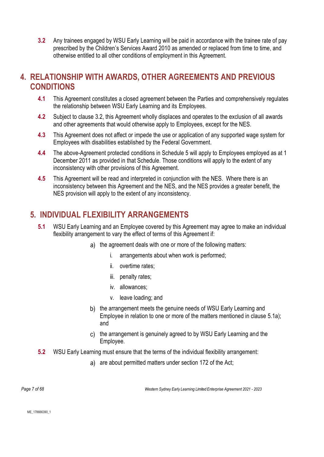<span id="page-6-2"></span>**3.2** Any trainees engaged by WSU Early Learning will be paid in accordance with the trainee rate of pay prescribed by the Children's Services Award 2010 as amended or replaced from time to time, and otherwise entitled to all other conditions of employment in this Agreement.

## <span id="page-6-0"></span>**4. RELATIONSHIP WITH AWARDS, OTHER AGREEMENTS AND PREVIOUS CONDITIONS**

- **4.1** This Agreement constitutes a closed agreement between the Parties and comprehensively regulates the relationship between WSU Early Learning and its Employees.
- **4.2** Subject to clause [3.2,](#page-6-2) this Agreement wholly displaces and operates to the exclusion of all awards and other agreements that would otherwise apply to Employees, except for the NES.
- **4.3** This Agreement does not affect or impede the use or application of any supported wage system for Employees with disabilities established by the Federal Government.
- **4.4** The above-Agreement protected conditions in Schedule 5 will apply to Employees employed as at 1 December 2011 as provided in that Schedule. Those conditions will apply to the extent of any inconsistency with other provisions of this Agreement.
- **4.5** This Agreement will be read and interpreted in conjunction with the NES. Where there is an inconsistency between this Agreement and the NES, and the NES provides a greater benefit, the NES provision will apply to the extent of any inconsistency.

# <span id="page-6-3"></span><span id="page-6-1"></span>**5. INDIVIDUAL FLEXIBILITY ARRANGEMENTS**

- **5.1** WSU Early Learning and an Employee covered by this Agreement may agree to make an individual flexibility arrangement to vary the effect of terms of this Agreement if:
	- a) the agreement deals with one or more of the following matters:
		- i. arrangements about when work is performed;
		- ii. overtime rates;
		- iii. penalty rates;
		- iv. allowances;
		- v. leave loading; and
	- b) the arrangement meets the genuine needs of WSU Early Learning and Employee in relation to one or more of the matters mentioned in clause [5.1a\);](#page-6-3) and
	- c) the arrangement is genuinely agreed to by WSU Early Learning and the Employee.
- **5.2** WSU Early Learning must ensure that the terms of the individual flexibility arrangement:
	- a) are about permitted matters under section 172 of the Act;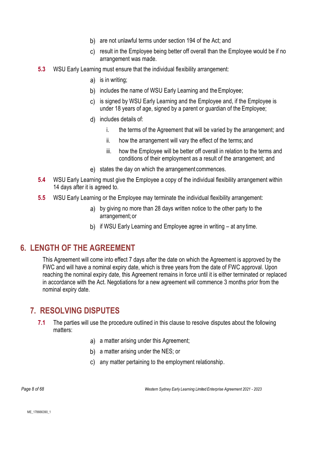- b) are not unlawful terms under section 194 of the Act: and
- result in the Employee being better off overall than the Employee would be if no arrangement was made.
- **5.3** WSU Early Learning must ensure that the individual flexibility arrangement:
	- a) is in writing;
	- b) includes the name of WSU Early Learning and the Employee;
	- is signed by WSU Early Learning and the Employee and, if the Employee is under 18 years of age, signed by a parent or guardian of the Employee;
	- d) includes details of:
		- i. the terms of the Agreement that will be varied by the arrangement; and
		- ii. how the arrangement will vary the effect of the terms; and
		- iii. how the Employee will be better off overall in relation to the terms and conditions of their employment as a result of the arrangement; and
	- e) states the day on which the arrangement commences.
- **5.4** WSU Early Learning must give the Employee a copy of the individual flexibility arrangement within 14 days after it is agreed to.
- **5.5** WSU Early Learning or the Employee may terminate the individual flexibility arrangement:
	- by giving no more than 28 days written notice to the other party to the arrangement;or
	- b) if WSU Early Learning and Employee agree in writing at any time.

### <span id="page-7-0"></span>**6. LENGTH OF THE AGREEMENT**

This Agreement will come into effect 7 days after the date on which the Agreement is approved by the FWC and will have a nominal expiry date, which is three years from the date of FWC approval. Upon reaching the nominal expiry date, this Agreement remains in force until it is either terminated or replaced in accordance with the Act. Negotiations for a new agreement will commence 3 months prior from the nominal expiry date.

### <span id="page-7-1"></span>**7. RESOLVING DISPUTES**

- **7.1** The parties will use the procedure outlined in this clause to resolve disputes about the following matters:
	- a) a matter arising under this Agreement;
	- b) a matter arising under the NES; or
	- any matter pertaining to the employment relationship.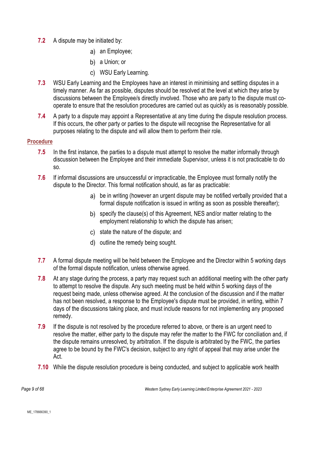- **7.2** A dispute may be initiated by:
	- a) an Employee;
	- b) a Union; or
	- WSU Early Learning.
- **7.3** WSU Early Learning and the Employees have an interest in minimising and settling disputes in a timely manner. As far as possible, disputes should be resolved at the level at which they arise by discussions between the Employee/s directly involved. Those who are party to the dispute must cooperate to ensure that the resolution procedures are carried out as quickly as is reasonably possible.
- **7.4** A party to a dispute may appoint a Representative at any time during the dispute resolution process. If this occurs, the other party or parties to the dispute will recognise the Representative for all purposes relating to the dispute and will allow them to perform their role.

#### **Procedure**

- **7.5** In the first instance, the parties to a dispute must attempt to resolve the matter informally through discussion between the Employee and their immediate Supervisor, unless it is not practicable to do so.
- **7.6** If informal discussions are unsuccessful or impracticable, the Employee must formally notify the dispute to the Director. This formal notification should, as far as practicable:
	- be in writing (however an urgent dispute may be notified verbally provided that a formal dispute notification is issued in writing as soon as possible thereafter);
	- b) specify the clause(s) of this Agreement, NES and/or matter relating to the employment relationship to which the dispute has arisen;
	- c) state the nature of the dispute; and
	- d) outline the remedy being sought.
- **7.7** A formal dispute meeting will be held between the Employee and the Director within 5 working days of the formal dispute notification, unless otherwise agreed.
- **7.8** At any stage during the process, a party may request such an additional meeting with the other party to attempt to resolve the dispute. Any such meeting must be held within 5 working days of the request being made, unless otherwise agreed. At the conclusion of the discussion and if the matter has not been resolved, a response to the Employee's dispute must be provided, in writing, within 7 days of the discussions taking place, and must include reasons for not implementing any proposed remedy.
- **7.9** If the dispute is not resolved by the procedure referred to above, or there is an urgent need to resolve the matter, either party to the dispute may refer the matter to the FWC for conciliation and, if the dispute remains unresolved, by arbitration. If the dispute is arbitrated by the FWC, the parties agree to be bound by the FWC's decision, subject to any right of appeal that may arise under the Act.
- **7.10** While the dispute resolution procedure is being conducted, and subject to applicable work health

*Page 9 of 68 Western Sydney Early Learning Limited Enterprise Agreement 2021 - 2023*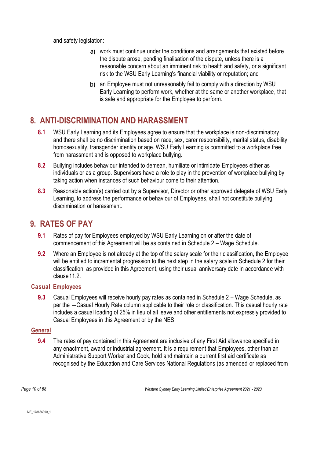and safety legislation:

- work must continue under the conditions and arrangements that existed before the dispute arose, pending finalisation of the dispute, unless there is a reasonable concern about an imminent risk to health and safety, or a significant risk to the WSU Early Learning's financial viability or reputation; and
- b) an Employee must not unreasonably fail to comply with a direction by WSU Early Learning to perform work, whether at the same or another workplace, that is safe and appropriate for the Employee to perform.

# <span id="page-9-0"></span>**8. ANTI-DISCRIMINATION AND HARASSMENT**

- **8.1** WSU Early Learning and its Employees agree to ensure that the workplace is non-discriminatory and there shall be no discrimination based on race, sex, carer responsibility, marital status, disability, homosexuality, transgender identity or age. WSU Early Learning is committed to a workplace free from harassment and is opposed to workplace bullying.
- **8.2** Bullying includes behaviour intended to demean, humiliate or intimidate Employees either as individuals or as a group. Supervisors have a role to play in the prevention of workplace bullying by taking action when instances of such behaviour come to their attention.
- **8.3** Reasonable action(s) carried out by a Supervisor, Director or other approved delegate of WSU Early Learning, to address the performance or behaviour of Employees, shall not constitute bullying, discrimination or harassment.

## <span id="page-9-1"></span>**9. RATES OF PAY**

- **9.1** Rates of pay for Employees employed by WSU Early Learning on or after the date of commencement ofthis Agreement will be as contained in Schedule 2 – Wage Schedule.
- **9.2** Where an Employee is not already at the top of the salary scale for their classification, the Employee will be entitled to incremental progression to the next step in the salary scale in Schedule 2 for their classification, as provided in this Agreement, using their usual anniversary date in accordance with clause 11.2

### **Casual Employees**

**9.3** Casual Employees will receive hourly pay rates as contained in Schedule 2 – Wage Schedule, as per the ―Casual Hourly Rate column applicable to their role or classification. This casual hourly rate includes a casual loading of 25% in lieu of all leave and other entitlements not expressly provided to Casual Employees in this Agreement or by the NES.

### **General**

**9.4** The rates of pay contained in this Agreement are inclusive of any First Aid allowance specified in any enactment, award or industrial agreement. It is a requirement that Employees, other than an Administrative Support Worker and Cook, hold and maintain a current first aid certificate as recognised by the Education and Care Services National Regulations (as amended or replaced from

*Page 10 of 68 Western Sydney Early Learning Limited Enterprise Agreement 2021 - 2023*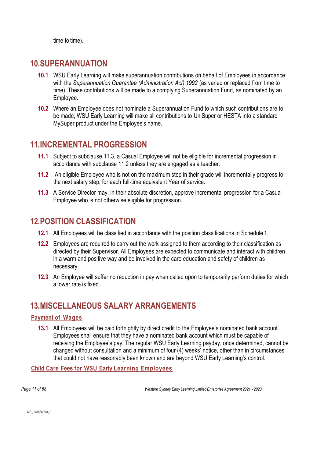time to time).

### <span id="page-10-0"></span>**10.SUPERANNUATION**

- **10.1** WSU Early Learning will make superannuation contributions on behalf of Employees in accordance with the *Superannuation Guarantee (Administration Act) 1992* (as varied or replaced from time to time). These contributions will be made to a complying Superannuation Fund, as nominated by an Employee.
- **10.2** Where an Employee does not nominate a Superannuation Fund to which such contributions are to be made, WSU Early Learning will make all contributions to UniSuper or HESTA into a standard MySuper product under the Employee's name.

### <span id="page-10-1"></span>**11.INCREMENTAL PROGRESSION**

- **11.1** Subject to subclause [11.3,](#page-10-5) a Casual Employee will not be eligible for incremental progression in accordance with subclause [11.2](#page-10-4) unless they are engaged as a teacher.
- <span id="page-10-4"></span>**11.2** An eligible Employee who is not on the maximum step in their grade will incrementally progress to the next salary step, for each full-time equivalent Year of service.
- <span id="page-10-5"></span>**11.3** A Service Director may, in their absolute discretion, approve incremental progression for a Casual Employee who is not otherwise eligible for progression.

## <span id="page-10-2"></span>**12.POSITION CLASSIFICATION**

- **12.1** All Employees will be classified in accordance with the position classifications in Schedule 1.
- **12.2** Employees are required to carry out the work assigned to them according to their classification as directed by their Supervisor. All Employees are expected to communicate and interact with children in a warm and positive way and be involved in the care education and safety of children as necessary.
- **12.3** An Employee will suffer no reduction in pay when called upon to temporarily perform duties for which a lower rate is fixed.

### <span id="page-10-3"></span>**13.MISCELLANEOUS SALARY ARRANGEMENTS**

### **Payment of Wages**

**13.1** All Employees will be paid fortnightly by direct credit to the Employee's nominated bank account. Employees shall ensure that they have a nominated bank account which must be capable of receiving the Employee's pay. The regular WSU Early Learning payday, once determined, cannot be changed without consultation and a minimum of four (4) weeks' notice, other than in circumstances that could not have reasonably been known and are beyond WSU Early Learning's control.

### **Child Care Fees for WSU Early Learning Employees**

*Page 11 of 68 Western Sydney Early Learning Limited Enterprise Agreement 2021 - 2023*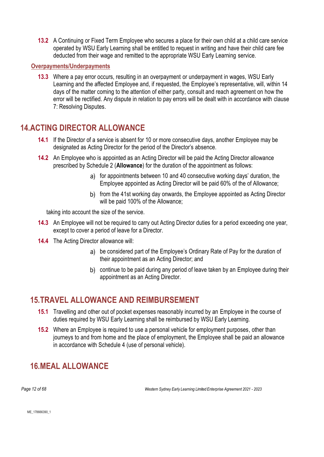**13.2** A Continuing or Fixed Term Employee who secures a place for their own child at a child care service operated by WSU Early Learning shall be entitled to request in writing and have their child care fee deducted from their wage and remitted to the appropriate WSU Early Learning service.

#### **Overpayments/Underpayments**

**13.3** Where a pay error occurs, resulting in an overpayment or underpayment in wages, WSU Early Learning and the affected Employee and, if requested, the Employee's representative, will, within 14 days of the matter coming to the attention of either party, consult and reach agreement on how the error will be rectified. Any dispute in relation to pay errors will be dealt with in accordance with clause 7: Resolving Disputes.

### <span id="page-11-0"></span>**14.ACTING DIRECTOR ALLOWANCE**

- **14.1** If the Director of a service is absent for 10 or more consecutive days, another Employee may be designated as Acting Director for the period of the Director's absence.
- **14.2** An Employee who is appointed as an Acting Director will be paid the Acting Director allowance prescribed by Schedule 2 (**Allowance**) for the duration of the appointment as follows:
	- a) for appointments between 10 and 40 consecutive working days' duration, the Employee appointed as Acting Director will be paid 60% of the of Allowance;
	- b) from the 41st working day onwards, the Employee appointed as Acting Director will be paid 100% of the Allowance;

taking into account the size of the service.

- **14.3** An Employee will not be required to carry out Acting Director duties for a period exceeding one year, except to cover a period of leave for a Director.
- **14.4** The Acting Director allowance will:
	- be considered part of the Employee's Ordinary Rate of Pay for the duration of their appointment as an Acting Director; and
	- b) continue to be paid during any period of leave taken by an Employee during their appointment as an Acting Director.

## <span id="page-11-1"></span>**15.TRAVEL ALLOWANCE AND REIMBURSEMENT**

- **15.1** Travelling and other out of pocket expenses reasonably incurred by an Employee in the course of duties required by WSU Early Learning shall be reimbursed by WSU Early Learning.
- **15.2** Where an Employee is required to use a personal vehicle for employment purposes, other than journeys to and from home and the place of employment, the Employee shall be paid an allowance in accordance with Schedule 4 (use of personal vehicle).

# <span id="page-11-2"></span>**16.MEAL ALLOWANCE**

*Page 12 of 68 Western Sydney Early Learning Limited Enterprise Agreement 2021 - 2023*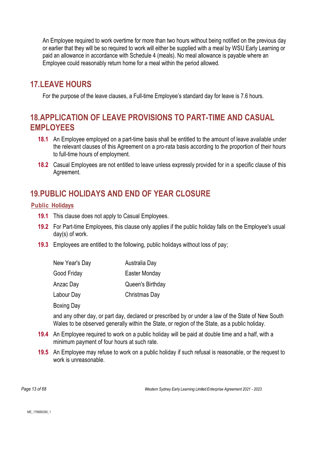An Employee required to work overtime for more than two hours without being notified on the previous day or earlier that they will be so required to work will either be supplied with a meal by WSU Early Learning or paid an allowance in accordance with Schedule 4 (meals). No meal allowance is payable where an Employee could reasonably return home for a meal within the period allowed.

# <span id="page-12-0"></span>**17.LEAVE HOURS**

For the purpose of the leave clauses, a Full-time Employee's standard day for leave is 7.6 hours.

# <span id="page-12-1"></span>**18.APPLICATION OF LEAVE PROVISIONS TO PART-TIME AND CASUAL EMPLOYEES**

- **18.1** An Employee employed on a part-time basis shall be entitled to the amount of leave available under the relevant clauses of this Agreement on a pro-rata basis according to the proportion of their hours to full-time hours of employment.
- **18.2** Casual Employees are not entitled to leave unless expressly provided for in a specific clause of this Agreement.

# <span id="page-12-2"></span>**19.PUBLIC HOLIDAYS AND END OF YEAR CLOSURE**

### <span id="page-12-3"></span>**Public Holidays**

- **19.1** This clause does not apply to Casual Employees.
- **19.2** For Part-time Employees, this clause only applies if the public holiday falls on the Employee's usual day(s) of work.
- **19.3** Employees are entitled to the following, public holidays without loss of pay;

| New Year's Day    | Australia Day    |
|-------------------|------------------|
| Good Friday       | Easter Monday    |
| Anzac Day         | Queen's Birthday |
| Labour Day        | Christmas Day    |
| <b>Boxing Day</b> |                  |

and any other day, or part day, declared or prescribed by or under a law of the State of New South Wales to be observed generally within the State, or region of the State, as a public holiday.

- **19.4** An Employee required to work on a public holiday will be paid at double time and a half, with a minimum payment of four hours at such rate.
- **19.5** An Employee may refuse to work on a public holiday if such refusal is reasonable, or the request to work is unreasonable.

*Page 13 of 68 Western Sydney Early Learning Limited Enterprise Agreement 2021 - 2023*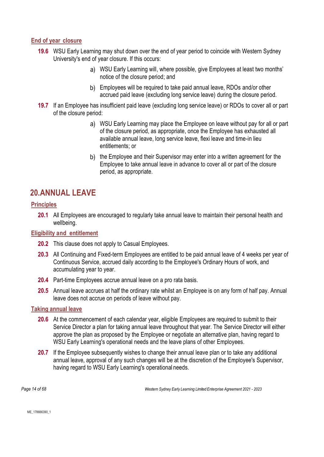### **End of year closure**

- **19.6** WSU Early Learning may shut down over the end of year period to coincide with Western Sydney University's end of year closure. If this occurs:
	- WSU Early Learning will, where possible, give Employees at least two months' notice of the closure period; and
	- Employees will be required to take paid annual leave, RDOs and/or other accrued paid leave (excluding long service leave) during the closure period.
- **19.7** If an Employee has insufficient paid leave (excluding long service leave) or RDOs to cover all or part of the closure period:
	- WSU Early Learning may place the Employee on leave without pay for all or part of the closure period, as appropriate, once the Employee has exhausted all available annual leave, long service leave, flexi leave and time-in lieu entitlements; or
	- b) the Employee and their Supervisor may enter into a written agreement for the Employee to take annual leave in advance to cover all or part of the closure period, as appropriate.

# <span id="page-13-0"></span>**20.ANNUAL LEAVE**

### **Principles**

**20.1** All Employees are encouraged to regularly take annual leave to maintain their personal health and wellbeing.

### **Eligibility and entitlement**

- **20.2** This clause does not apply to Casual Employees.
- **20.3** All Continuing and Fixed-term Employees are entitled to be paid annual leave of 4 weeks per year of Continuous Service, accrued daily according to the Employee's Ordinary Hours of work, and accumulating year to year.
- **20.4** Part-time Employees accrue annual leave on a pro rata basis.
- **20.5** Annual leave accrues at half the ordinary rate whilst an Employee is on any form of half pay. Annual leave does not accrue on periods of leave without pay.

### **Taking annual leave**

- **20.6** At the commencement of each calendar year, eligible Employees are required to submit to their Service Director a plan for taking annual leave throughout that year. The Service Director will either approve the plan as proposed by the Employee or negotiate an alternative plan, having regard to WSU Early Learning's operational needs and the leave plans of other Employees.
- **20.7** If the Employee subsequently wishes to change their annual leave plan or to take any additional annual leave, approval of any such changes will be at the discretion of the Employee's Supervisor, having regard to WSU Early Learning's operational needs.

*Page 14 of 68 Western Sydney Early Learning Limited Enterprise Agreement 2021 - 2023*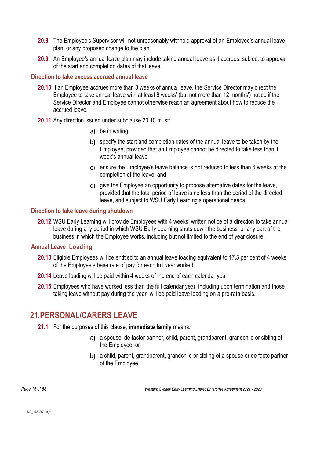- **20.8** The Employee's Supervisor will not unreasonably withhold approval of an Employee's annual leave plan, or any proposed change to the plan.
- **20.9** An Employee's annual leave plan may include taking annual leave as it accrues, subject to approval of the start and completion dates of that leave.

#### <span id="page-14-1"></span>**Direction to take excess accrued annual leave**

- **20.10** If an Employee accrues more than 8 weeks of annual leave, the Service Director may direct the Employee to take annual leave with at least 8 weeks' (but not more than 12 months') notice if the Service Director and Employee cannot otherwise reach an agreement about how to reduce the accrued leave.
- **20.11** Any direction issued under subclause [20.10](#page-14-1) must:
	- be in writing;
	- b) specify the start and completion dates of the annual leave to be taken by the Employee, provided that an Employee cannot be directed to take less than 1 week's annual leave;
	- ensure the Employee's leave balance is not reduced to less than 6 weeks at the completion of the leave; and
	- give the Employee an opportunity to propose alternative dates for the leave, provided that the total period of leave is no less than the period of the directed leave, and subject to WSU Early Learning's operational needs.

#### **Direction to take leave during shutdown**

**20.12** WSU Early Learning will provide Employees with 4 weeks' written notice of a direction to take annual leave during any period in which WSU Early Learning shuts down the business, or any part of the business in which the Employee works, including but not limited to the end of year closure.

#### **Annual Leave Loading**

- **20.13** Eligible Employees will be entitled to an annual leave loading equivalent to 17.5 per cent of 4 weeks of the Employee's base rate of pay for each full yearworked.
- **20.14** Leave loading will be paid within 4 weeks of the end of each calendar year.
- **20.15** Employees who have worked less than the full calendar year, including upon termination and those taking leave without pay during the year, will be paid leave loading on a pro-rata basis.

### <span id="page-14-2"></span><span id="page-14-0"></span>**21.PERSONAL/CARERS LEAVE**

- **21.1** For the purposes of this clause, **immediate family** means:
	- a) a spouse, de factor partner, child, parent, grandparent, grandchild or sibling of the Employee; or
	- a child, parent, grandparent, grandchild or sibling of a spouse or de facto partner of the Employee.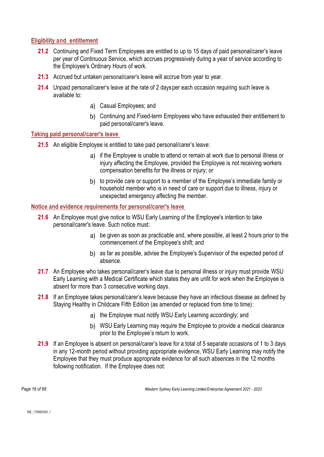### **Eligibility and entitlement**

- **21.2** Continuing and Fixed Term Employees are entitled to up to 15 days of paid personal/carer's leave per year of Continuous Service, which accrues progressively during a year of service according to the Employee's Ordinary Hours of work.
- **21.3** Accrued but untaken personal/carer's leave will accrue from year to year.
- **21.4** Unpaid personal/carer's leave at the rate of 2 daysper each occasion requiring such leave is available to:
	- Casual Employees; and
	- Continuing and Fixed-term Employees who have exhausted their entitlement to paid personal/carer's leave.

#### <span id="page-15-0"></span>**Taking paid personal/carer's leave**

- **21.5** An eligible Employee is entitled to take paid personal/carer's leave:
	- a) if the Employee is unable to attend or remain at work due to personal illness or injury affecting the Employee, provided the Employee is not receiving workers compensation benefits for the illness or injury; or
	- b) to provide care or support to a member of the Employee's immediate family or household member who is in need of care or support due to illness, injury or unexpected emergency affecting the member.

### **Notice and evidence requirements for personal/carer's leave**

- **21.6** An Employee must give notice to WSU Early Learning of the Employee's intention to take personal/carer's leave. Such notice must:
	- be given as soon as practicable and, where possible, at least 2 hours prior to the commencement of the Employee's shift; and
	- b) as far as possible, advise the Employee's Supervisor of the expected period of absence.
- **21.7** An Employee who takes personal/carer's leave due to personal illness or injury must provide WSU Early Learning with a Medical Certificate which states they are unfit for work when the Employee is absent for more than 3 consecutive working days.
- **21.8** If an Employee takes personal/carer's leave because they have an infectious disease as defined by Staying Healthy in Childcare Fifth Edition (as amended or replaced from time to time):
	- a) the Employee must notify WSU Early Learning accordingly; and
	- b) WSU Early Learning may require the Employee to provide a medical clearance prior to the Employee's return to work.
- **21.9** If an Employee is absent on personal/carer's leave for a total of 5 separate occasions of 1 to 3 days in any 12-month period without providing appropriate evidence, WSU Early Learning may notify the Employee that they must produce appropriate evidence for all such absences in the 12 months following notification. If the Employee does not:

*Page 16 of 68 Western Sydney Early Learning Limited Enterprise Agreement 2021 - 2023*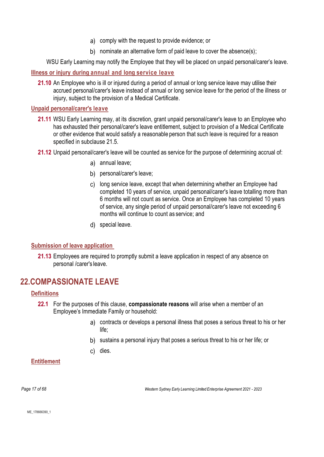- comply with the request to provide evidence; or
- b) nominate an alternative form of paid leave to cover the absence(s);

WSU Early Learning may notify the Employee that they will be placed on unpaid personal/carer's leave.

**Illness or injury during annual and long service leave**

**21.10** An Employee who is ill or injured during a period of annual or long service leave may utilise their accrued personal/carer's leave instead of annual or long service leave for the period of the illness or injury, subject to the provision of a Medical Certificate.

### **Unpaid personal/carer's leave**

- **21.11** WSU Early Learning may, at its discretion, grant unpaid personal/carer's leave to an Employee who has exhausted their personal/carer's leave entitlement, subject to provision of a Medical Certificate or other evidence that would satisfy a reasonable person that such leave is required for a reason specified in subclause [21.5.](#page-15-0)
- **21.12** Unpaid personal/carer's leave will be counted as service for the purpose of determining accrual of:
	- a) annual leave;
	- b) personal/carer's leave;
	- long service leave, except that when determining whether an Employee had completed 10 years of service, unpaid personal/carer's leave totalling more than 6 months will not count as service. Once an Employee has completed 10 years of service, any single period of unpaid personal/carer's leave not exceeding 6 months will continue to count as service; and
	- special leave.

### **Submission of leave application**

**21.13** Employees are required to promptly submit a leave application in respect of any absence on personal /carer's leave.

## <span id="page-16-0"></span>**22.COMPASSIONATE LEAVE**

### <span id="page-16-1"></span>**Definitions**

- **22.1** For the purposes of this clause, **compassionate reasons** will arise when a member of an Employee's Immediate Family or household:
	- contracts or develops a personal illness that poses a serious threat to his or her life;
	- b) sustains a personal injury that poses a serious threat to his or her life; or
	- c) dies.

### **Entitlement**

*Page 17 of 68 Western Sydney Early Learning Limited Enterprise Agreement 2021 - 2023*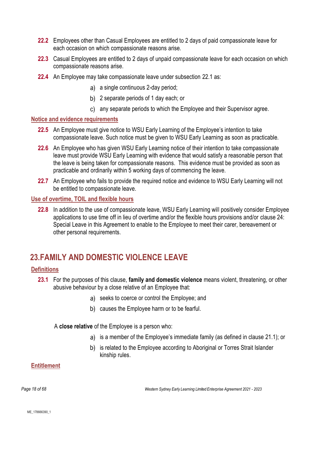- **22.2** Employees other than Casual Employees are entitled to 2 days of paid compassionate leave for each occasion on which compassionate reasons arise.
- **22.3** Casual Employees are entitled to 2 days of unpaid compassionate leave for each occasion on which compassionate reasons arise.
- **22.4** An Employee may take compassionate leave under subsection [22.1](#page-16-1) as:
	- a) a single continuous 2-day period;
	- 2 separate periods of 1 day each; or
	- any separate periods to which the Employee and their Supervisor agree.

#### **Notice and evidence requirements**

- **22.5** An Employee must give notice to WSU Early Learning of the Employee's intention to take compassionate leave. Such notice must be given to WSU Early Learning as soon as practicable.
- **22.6** An Employee who has given WSU Early Learning notice of their intention to take compassionate leave must provide WSU Early Learning with evidence that would satisfy a reasonable person that the leave is being taken for compassionate reasons. This evidence must be provided as soon as practicable and ordinarily within 5 working days of commencing the leave.
- **22.7** An Employee who fails to provide the required notice and evidence to WSU Early Learning will not be entitled to compassionate leave.

#### **Use of overtime, TOIL and flexible hours**

**22.8** In addition to the use of compassionate leave, WSU Early Learning will positively consider Employee applications to use time off in lieu of overtime and/or the flexible hours provisions and/or clause [24:](#page-18-0) Special Leave in this Agreement to enable to the Employee to meet their carer, bereavement or other personal requirements.

# <span id="page-17-0"></span>**23.FAMILY AND DOMESTIC VIOLENCE LEAVE**

### **Definitions**

- **23.1** For the purposes of this clause, **family and domestic violence** means violent, threatening, or other abusive behaviour by a close relative of an Employee that:
	- a) seeks to coerce or control the Employee; and
	- b) causes the Employee harm or to be fearful.

A **close relative** of the Employee is a person who:

- a) is a member of the Employee's immediate family (as defined in clause [21.1\)](#page-14-2); or
- b) is related to the Employee according to Aboriginal or Torres Strait Islander kinship rules.

#### **Entitlement**

*Page 18 of 68 Western Sydney Early Learning Limited Enterprise Agreement 2021 - 2023*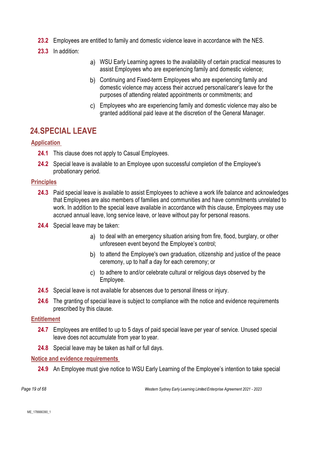- **23.2** Employees are entitled to family and domestic violence leave in accordance with the NES.
- **23.3** In addition:
- WSU Early Learning agrees to the availability of certain practical measures to assist Employees who are experiencing family and domestic violence;
- b) Continuing and Fixed-term Employees who are experiencing family and domestic violence may access their accrued personal/carer's leave for the purposes of attending related appointments or commitments; and
- Employees who are experiencing family and domestic violence may also be granted additional paid leave at the discretion of the General Manager.

## <span id="page-18-0"></span>**24.SPECIAL LEAVE**

### **Application**

- **24.1** This clause does not apply to Casual Employees.
- **24.2** Special leave is available to an Employee upon successful completion of the Employee's probationary period.

### **Principles**

- **24.3** Paid special leave is available to assist Employees to achieve a work life balance and acknowledges that Employees are also members of families and communities and have commitments unrelated to work. In addition to the special leave available in accordance with this clause, Employees may use accrued annual leave, long service leave, or leave without pay for personal reasons.
- **24.4** Special leave may be taken:
	- a) to deal with an emergency situation arising from fire, flood, burglary, or other unforeseen event beyond the Employee's control;
	- b) to attend the Employee's own graduation, citizenship and justice of the peace ceremony, up to half a day for each ceremony; or
	- to adhere to and/or celebrate cultural or religious days observed by the Employee.
- **24.5** Special leave is not available for absences due to personal illness or injury.
- **24.6** The granting of special leave is subject to compliance with the notice and evidence requirements prescribed by this clause.

### **Entitlement**

- **24.7** Employees are entitled to up to 5 days of paid special leave per year of service. Unused special leave does not accumulate from year to year.
- **24.8** Special leave may be taken as half or full days.

### **Notice and evidence requirements**

**24.9** An Employee must give notice to WSU Early Learning of the Employee's intention to take special

*Page 19 of 68 Western Sydney Early Learning Limited Enterprise Agreement 2021 - 2023*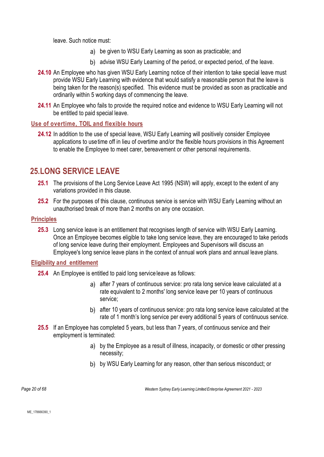leave. Such notice must:

- be given to WSU Early Learning as soon as practicable; and
- b) advise WSU Early Learning of the period, or expected period, of the leave.
- **24.10** An Employee who has given WSU Early Learning notice of their intention to take special leave must provide WSU Early Learning with evidence that would satisfy a reasonable person that the leave is being taken for the reason(s) specified. This evidence must be provided as soon as practicable and ordinarily within 5 working days of commencing the leave.
- 24.11 An Employee who fails to provide the required notice and evidence to WSU Early Learning will not be entitled to paid special leave.

#### **Use of overtime, TOIL and flexible hours**

**24.12** In addition to the use of special leave, WSU Early Learning will positively consider Employee applications to usetime off in lieu of overtime and/or the flexible hours provisions in this Agreement to enable the Employee to meet carer, bereavement or other personal requirements.

### <span id="page-19-0"></span>**25.LONG SERVICE LEAVE**

- **25.1** The provisions of the Long Service Leave Act 1995 (NSW) will apply, except to the extent of any variations provided in this clause.
- **25.2** For the purposes of this clause, continuous service is service with WSU Early Learning without an unauthorised break of more than 2 months on any one occasion.

### **Principles**

**25.3** Long service leave is an entitlement that recognises length of service with WSU Early Learning. Once an Employee becomes eligible to take long service leave, they are encouraged to take periods of long service leave during their employment. Employees and Supervisors will discuss an Employee's long service leave plans in the context of annual work plans and annual leave plans.

#### <span id="page-19-1"></span>**Eligibility and entitlement**

- **25.4** An Employee is entitled to paid long service leave as follows:
	- a) after 7 years of continuous service: pro rata long service leave calculated at a rate equivalent to 2 months' long service leave per 10 years of continuous service;
	- after 10 years of continuous service: pro rata long service leave calculated at the rate of 1 month's long service per every additional 5 years of continuous service.
- **25.5** If an Employee has completed 5 years, but less than 7 years, of continuous service and their employment is terminated:
	- a) by the Employee as a result of illness, incapacity, or domestic or other pressing necessity;
	- by WSU Early Learning for any reason, other than serious misconduct; or

*Page 20 of 68 Western Sydney Early Learning Limited Enterprise Agreement 2021 - 2023*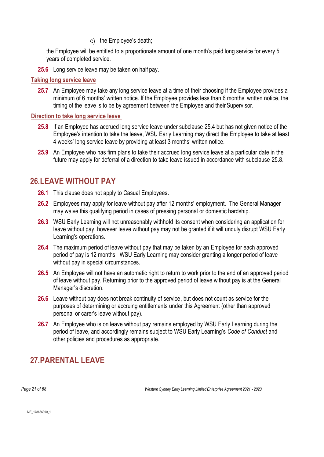c) the Employee's death:

the Employee will be entitled to a proportionate amount of one month's paid long service for every 5 years of completed service.

**25.6** Long service leave may be taken on half pay.

#### **Taking long service leave**

**25.7** An Employee may take any long service leave at a time of their choosing if the Employee provides a minimum of 6 months' written notice. If the Employee provides less than 6 months' written notice, the timing of the leave is to be by agreement between the Employee and their Supervisor.

#### <span id="page-20-2"></span>**Direction to take long service leave**

- **25.8** If an Employee has accrued long service leave under subclause [25.4](#page-19-1) but has not given notice of the Employee's intention to take the leave, WSU Early Learning may direct the Employee to take at least 4 weeks' long service leave by providing at least 3 months' written notice.
- **25.9** An Employee who has firm plans to take their accrued long service leave at a particular date in the future may apply for deferral of a direction to take leave issued in accordance with subclause [25.8.](#page-20-2)

### <span id="page-20-0"></span>**26.LEAVE WITHOUT PAY**

- **26.1** This clause does not apply to Casual Employees.
- **26.2** Employees may apply for leave without pay after 12 months' employment. The General Manager may waive this qualifying period in cases of pressing personal or domestic hardship.
- **26.3** WSU Early Learning will not unreasonably withhold its consent when considering an application for leave without pay, however leave without pay may not be granted if it will unduly disrupt WSU Early Learning's operations.
- **26.4** The maximum period of leave without pay that may be taken by an Employee for each approved period of pay is 12 months. WSU Early Learning may consider granting a longer period of leave without pay in special circumstances.
- **26.5** An Employee will not have an automatic right to return to work prior to the end of an approved period of leave without pay. Returning prior to the approved period of leave without pay is at the General Manager's discretion.
- **26.6** Leave without pay does not break continuity of service, but does not count as service for the purposes of determining or accruing entitlements under this Agreement (other than approved personal or carer's leave without pay).
- **26.7** An Employee who is on leave without pay remains employed by WSU Early Learning during the period of leave, and accordingly remains subject to WSU Early Learning's *Code of Conduct* and other policies and procedures as appropriate.

# <span id="page-20-1"></span>**27.PARENTAL LEAVE**

*Page 21 of 68 Western Sydney Early Learning Limited Enterprise Agreement 2021 - 2023*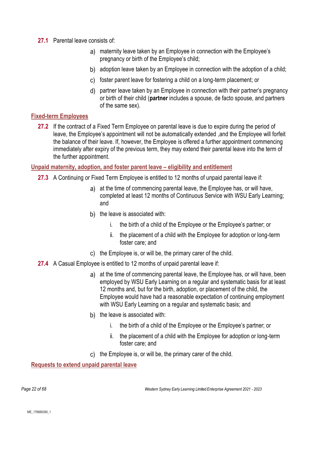- **27.1** Parental leave consists of:
	- maternity leave taken by an Employee in connection with the Employee's pregnancy or birth of the Employee's child;
	- b) adoption leave taken by an Employee in connection with the adoption of a child;
	- c) foster parent leave for fostering a child on a long-term placement; or
	- partner leave taken by an Employee in connection with their partner's pregnancy or birth of their child (**partner** includes a spouse, de facto spouse, and partners of the same sex).

### **Fixed-term Employees**

**27.2** If the contract of a Fixed Term Employee on parental leave is due to expire during the period of leave, the Employee's appointment will not be automatically extended ,and the Employee will forfeit the balance of their leave. If, however, the Employee is offered a further appointment commencing immediately after expiry of the previous term, they may extend their parental leave into the term of the further appointment.

#### **Unpaid maternity, adoption, and foster parent leave – eligibility and entitlement**

- **27.3** A Continuing or Fixed Term Employee is entitled to 12 months of unpaid parental leave if:
	- a) at the time of commencing parental leave, the Employee has, or will have, completed at least 12 months of Continuous Service with WSU Early Learning; and
	- b) the leave is associated with:
		- i. the birth of a child of the Employee or the Employee's partner; or
		- ii. the placement of a child with the Employee for adoption or long-term foster care; and
	- c) the Employee is, or will be, the primary carer of the child.
- **27.4** A Casual Employee is entitled to 12 months of unpaid parental leave if:
	- a) at the time of commencing parental leave, the Employee has, or will have, been employed by WSU Early Learning on a regular and systematic basis for at least 12 months and, but for the birth, adoption, or placement of the child, the Employee would have had a reasonable expectation of continuing employment with WSU Early Learning on a regular and systematic basis; and
	- b) the leave is associated with:
		- i. the birth of a child of the Employee or the Employee's partner; or
		- ii. the placement of a child with the Employee for adoption or long-term foster care; and
	- c) the Employee is, or will be, the primary carer of the child.

**Requests to extend unpaid parental leave**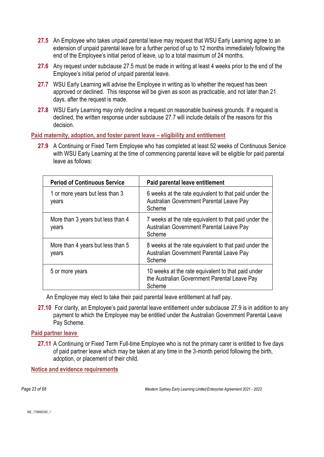- **27.5** An Employee who takes unpaid parental leave may request that WSU Early Learning agree to an extension of unpaid parental leave for a further period of up to 12 months immediately following the end of the Employee's initial period of leave, up to a total maximum of 24 months.
- <span id="page-22-0"></span>**27.6** Any request under subclause [27.5](#page-22-0) must be made in writing at least 4 weeks prior to the end of the Employee's initial period of unpaid parental leave.
- 27.7 WSU Early Learning will advise the Employee in writing as to whether the request has been approved or declined. This response will be given as soon as practicable, and not later than 21 days, after the request is made.
- <span id="page-22-1"></span>**27.8** WSU Early Learning may only decline a request on reasonable business grounds. If a request is declined, the written response under subclause [27.7](#page-22-1) will include details of the reasons for this decision.

**Paid maternity, adoption, and foster parent leave – eligibility and entitlement**

**27.9** A Continuing or Fixed Term Employee who has completed at least 52 weeks of Continuous Service with WSU Early Learning at the time of commencing parental leave will be eligible for paid parental leave as follows:

<span id="page-22-2"></span>

| <b>Period of Continuous Service</b>        | Paid parental leave entitlement                                                                              |
|--------------------------------------------|--------------------------------------------------------------------------------------------------------------|
| 1 or more years but less than 3<br>years   | 6 weeks at the rate equivalent to that paid under the<br>Australian Government Parental Leave Pay<br>Scheme  |
| More than 3 years but less than 4<br>years | 7 weeks at the rate equivalent to that paid under the<br>Australian Government Parental Leave Pay<br>Scheme  |
| More than 4 years but less than 5<br>years | 8 weeks at the rate equivalent to that paid under the<br>Australian Government Parental Leave Pay<br>Scheme  |
| 5 or more years                            | 10 weeks at the rate equivalent to that paid under<br>the Australian Government Parental Leave Pay<br>Scheme |

An Employee may elect to take their paid parental leave entitlement at half pay.

**27.10** For clarity, an Employee's paid parental leave entitlement under subclause [27.9](#page-22-2) is in addition to any payment to which the Employee may be entitled under the Australian Government Parental Leave Pay Scheme.

### **Paid partner leave**

**27.11** A Continuing or Fixed Term Full-time Employee who is not the primary carer is entitled to five days of paid partner leave which may be taken at any time in the 3-month period following the birth, adoption, or placement of their child.

**Notice and evidence requirements**

*Page 23 of 68 Western Sydney Early Learning Limited Enterprise Agreement 2021 - 2023*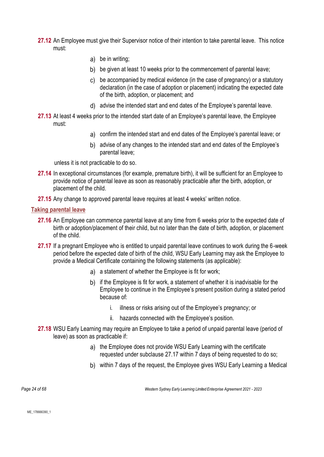- 27.12 An Employee must give their Supervisor notice of their intention to take parental leave. This notice must:
	- be in writing;
	- b) be given at least 10 weeks prior to the commencement of parental leave;
	- be accompanied by medical evidence (in the case of pregnancy) or a statutory declaration (in the case of adoption or placement) indicating the expected date of the birth, adoption, or placement; and
	- advise the intended start and end dates of the Employee's parental leave.
- **27.13** At least 4 weeks prior to the intended start date of an Employee's parental leave, the Employee must:
	- confirm the intended start and end dates of the Employee's parental leave; or
	- b) advise of any changes to the intended start and end dates of the Employee's parental leave;

unless it is not practicable to do so.

- **27.14** In exceptional circumstances (for example, premature birth), it will be sufficient for an Employee to provide notice of parental leave as soon as reasonably practicable after the birth, adoption, or placement of the child.
- **27.15** Any change to approved parental leave requires at least 4 weeks' written notice.

#### **Taking parental leave**

- **27.16** An Employee can commence parental leave at any time from 6 weeks prior to the expected date of birth or adoption/placement of their child, but no later than the date of birth, adoption, or placement of the child.
- <span id="page-23-0"></span>**27.17** If a pregnant Employee who is entitled to unpaid parental leave continues to work during the 6-week period before the expected date of birth of the child, WSU Early Learning may ask the Employee to provide a Medical Certificate containing the following statements (as applicable):
	- a) a statement of whether the Employee is fit for work;
	- b) if the Employee is fit for work, a statement of whether it is inadvisable for the Employee to continue in the Employee's present position during a stated period because of:
		- i. illness or risks arising out of the Employee's pregnancy; or
		- ii. hazards connected with the Employee's position.
- **27.18** WSU Early Learning may require an Employee to take a period of unpaid parental leave (period of leave) as soon as practicable if:
	- a) the Employee does not provide WSU Early Learning with the certificate requested under subclause [27.17](#page-23-0) within 7 days of being requested to do so;
	- within 7 days of the request, the Employee gives WSU Early Learning a Medical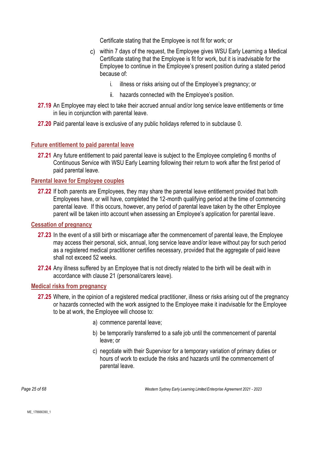Certificate stating that the Employee is not fit for work; or

- within 7 days of the request, the Employee gives WSU Early Learning a Medical Certificate stating that the Employee is fit for work, but it is inadvisable for the Employee to continue in the Employee's present position during a stated period because of:
	- i. illness or risks arising out of the Employee's pregnancy; or
	- ii. hazards connected with the Employee's position.
- 27.19 An Employee may elect to take their accrued annual and/or long service leave entitlements or time in lieu in conjunction with parental leave.
- **27.20** Paid parental leave is exclusive of any public holidays referred to in subclause [0.](#page-12-3)

### **Future entitlement to paid parental leave**

**27.21** Any future entitlement to paid parental leave is subject to the Employee completing 6 months of Continuous Service with WSU Early Learning following their return to work after the first period of paid parental leave.

### **Parental leave for Employee couples**

**27.22** If both parents are Employees, they may share the parental leave entitlement provided that both Employees have, or will have, completed the 12-month qualifying period at the time of commencing parental leave. If this occurs, however, any period of parental leave taken by the other Employee parent will be taken into account when assessing an Employee's application for parental leave.

### **Cessation of pregnancy**

- **27.23** In the event of a still birth or miscarriage after the commencement of parental leave, the Employee may access their personal, sick, annual, long service leave and/or leave without pay for such period as a registered medical practitioner certifies necessary, provided that the aggregate of paid leave shall not exceed 52 weeks.
- **27.24** Any illness suffered by an Employee that is not directly related to the birth will be dealt with in accordance with clause 21 (personal/carers leave).

### **Medical risks from pregnancy**

- <span id="page-24-0"></span>**27.25** Where, in the opinion of a registered medical practitioner, illness or risks arising out of the pregnancy or hazards connected with the work assigned to the Employee make it inadvisable for the Employee to be at work, the Employee will choose to:
	- a) commence parental leave;
	- b) be temporarily transferred to a safe job until the commencement of parental leave; or
	- c) negotiate with their Supervisor for a temporary variation of primary duties or hours of work to exclude the risks and hazards until the commencement of parental leave.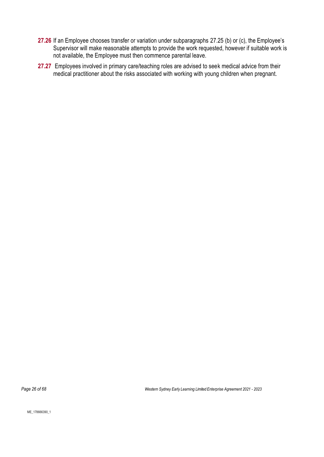- **27.26** If an Employee chooses transfer or variation under subparagraphs [27.25](#page-24-0) (b) or (c), the Employee's Supervisor will make reasonable attempts to provide the work requested, however if suitable work is not available, the Employee must then commence parental leave.
- **27.27** Employees involved in primary care/teaching roles are advised to seek medical advice from their medical practitioner about the risks associated with working with young children when pregnant.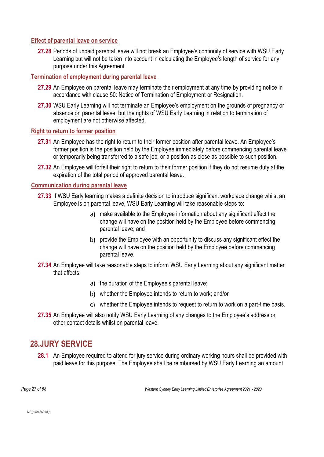### **Effect of parental leave on service**

**27.28** Periods of unpaid parental leave will not break an Employee's continuity of service with WSU Early Learning but will not be taken into account in calculating the Employee's length of service for any purpose under this Agreement.

### **Termination of employment during parental leave**

- **27.29** An Employee on parental leave may terminate their employment at any time by providing notice in accordance with clause [50:](#page-47-0) Notice of Termination of Employment or Resignation.
- **27.30** WSU Early Learning will not terminate an Employee's employment on the grounds of pregnancy or absence on parental leave, but the rights of WSU Early Learning in relation to termination of employment are not otherwise affected.

#### **Right to return to former position**

- **27.31** An Employee has the right to return to their former position after parental leave. An Employee's former position is the position held by the Employee immediately before commencing parental leave or temporarily being transferred to a safe job, or a position as close as possible to such position.
- **27.32** An Employee will forfeit their right to return to their former position if they do not resume duty at the expiration of the total period of approved parental leave.

#### **Communication during parental leave**

- **27.33** If WSU Early learning makes a definite decision to introduce significant workplace change whilst an Employee is on parental leave, WSU Early Learning will take reasonable steps to:
	- make available to the Employee information about any significant effect the change will have on the position held by the Employee before commencing parental leave; and
	- b) provide the Employee with an opportunity to discuss any significant effect the change will have on the position held by the Employee before commencing parental leave.
- **27.34** An Employee will take reasonable steps to inform WSU Early Learning about any significant matter that affects:
	- a) the duration of the Employee's parental leave;
	- whether the Employee intends to return to work; and/or
	- whether the Employee intends to request to return to work on a part-time basis.
- **27.35** An Employee will also notify WSU Early Learning of any changes to the Employee's address or other contact details whilst on parental leave.

## <span id="page-26-0"></span>**28.JURY SERVICE**

**28.1** An Employee required to attend for jury service during ordinary working hours shall be provided with paid leave for this purpose. The Employee shall be reimbursed by WSU Early Learning an amount

*Page 27 of 68 Western Sydney Early Learning Limited Enterprise Agreement 2021 - 2023*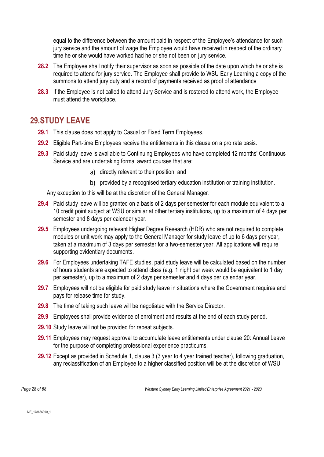equal to the difference between the amount paid in respect of the Employee's attendance for such jury service and the amount of wage the Employee would have received in respect of the ordinary time he or she would have worked had he or she not been on jury service.

- **28.2** The Employee shall notify their supervisor as soon as possible of the date upon which he or she is required to attend for jury service. The Employee shall provide to WSU Early Learning a copy of the summons to attend jury duty and a record of payments received as proof of attendance
- **28.3** If the Employee is not called to attend Jury Service and is rostered to attend work, the Employee must attend the workplace.

### <span id="page-27-0"></span>**29.STUDY LEAVE**

- **29.1** This clause does not apply to Casual or Fixed Term Employees.
- **29.2** Eligible Part-time Employees receive the entitlements in this clause on a pro rata basis.
- **29.3** Paid study leave is available to Continuing Employees who have completed 12 months' Continuous Service and are undertaking formal award courses that are:
	- a) directly relevant to their position; and
	- b) provided by a recognised tertiary education institution or training institution.

Any exception to this will be at the discretion of the General Manager.

- **29.4** Paid study leave will be granted on a basis of 2 days per semester for each module equivalent to a 10 credit point subject at WSU or similar at other tertiary institutions, up to a maximum of 4 days per semester and 8 days per calendar year.
- **29.5** Employees undergoing relevant Higher Degree Research (HDR) who are not required to complete modules or unit work may apply to the General Manager for study leave of up to 6 days per year, taken at a maximum of 3 days per semester for a two-semester year. All applications will require supporting evidentiary documents.
- **29.6** For Employees undertaking TAFE studies, paid study leave will be calculated based on the number of hours students are expected to attend class (e.g. 1 night per week would be equivalent to 1 day per semester), up to a maximum of 2 days per semester and 4 days per calendar year.
- **29.7** Employees will not be eligible for paid study leave in situations where the Government requires and pays for release time for study.
- **29.8** The time of taking such leave will be negotiated with the Service Director.
- **29.9** Employees shall provide evidence of enrolment and results at the end of each study period.
- **29.10** Study leave will not be provided for repeat subjects.
- **29.11** Employees may request approval to accumulate leave entitlements under clause [20:](#page-13-0) Annual Leave for the purpose of completing professional experience practicums.
- **29.12** Except as provided in Schedule 1, clause 3 (3 year to 4 year trained teacher), following graduation, any reclassification of an Employee to a higher classified position will be at the discretion of WSU

*Page 28 of 68 Western Sydney Early Learning Limited Enterprise Agreement 2021 - 2023*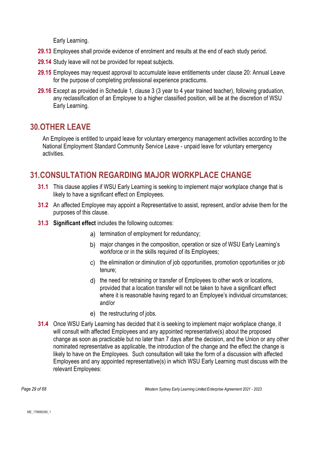Early Learning.

- **29.13** Employees shall provide evidence of enrolment and results at the end of each study period.
- **29.14** Study leave will not be provided for repeat subjects.
- **29.15** Employees may request approval to accumulate leave entitlements under clause [20:](#page-13-0) Annual Leave for the purpose of completing professional experience practicums.
- **29.16** Except as provided in Schedule 1, clause 3 (3 year to 4 year trained teacher), following graduation, any reclassification of an Employee to a higher classified position, will be at the discretion of WSU Early Learning.

# <span id="page-28-0"></span>**30.OTHER LEAVE**

An Employee is entitled to unpaid leave for voluntary emergency management activities according to the National Employment Standard Community Service Leave - unpaid leave for voluntary emergency activities.

# <span id="page-28-1"></span>**31.CONSULTATION REGARDING MAJOR WORKPLACE CHANGE**

- **31.1** This clause applies if WSU Early Learning is seeking to implement major workplace change that is likely to have a significant effect on Employees.
- **31.2** An affected Employee may appoint a Representative to assist, represent, and/or advise them for the purposes of this clause.
- **31.3 Significant effect** includes the following outcomes:
	- a) termination of employment for redundancy;
	- b) major changes in the composition, operation or size of WSU Early Learning's workforce or in the skills required of its Employees;
	- c) the elimination or diminution of job opportunities, promotion opportunities or job tenure;
	- d) the need for retraining or transfer of Employees to other work or locations, provided that a location transfer will not be taken to have a significant effect where it is reasonable having regard to an Employee's individual circumstances; and/or
	- e) the restructuring of jobs.
- <span id="page-28-2"></span>**31.4** Once WSU Early Learning has decided that it is seeking to implement major workplace change, it will consult with affected Employees and any appointed representative(s) about the proposed change as soon as practicable but no later than 7 days after the decision, and the Union or any other nominated representative as applicable, the introduction of the change and the effect the change is likely to have on the Employees. Such consultation will take the form of a discussion with affected Employees and any appointed representative(s) in which WSU Early Learning must discuss with the relevant Employees:

*Page 29 of 68 Western Sydney Early Learning Limited Enterprise Agreement 2021 - 2023*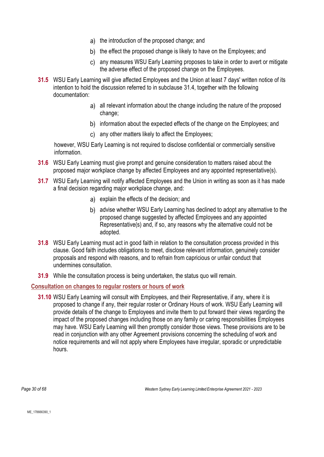- a) the introduction of the proposed change; and
- b) the effect the proposed change is likely to have on the Employees; and
- any measures WSU Early Learning proposes to take in order to avert or mitigate the adverse effect of the proposed change on the Employees.
- **31.5** WSU Early Learning will give affected Employees and the Union at least 7 days' written notice of its intention to hold the discussion referred to in subclause [31.4,](#page-28-2) together with the following documentation:
	- a) all relevant information about the change including the nature of the proposed change;
	- b) information about the expected effects of the change on the Employees; and
	- any other matters likely to affect the Employees;

however, WSU Early Learning is not required to disclose confidential or commercially sensitive information.

- **31.6** WSU Early Learning must give prompt and genuine consideration to matters raised about the proposed major workplace change by affected Employees and any appointed representative(s).
- **31.7** WSU Early Learning will notify affected Employees and the Union in writing as soon as it has made a final decision regarding major workplace change, and:
	- a) explain the effects of the decision; and
	- advise whether WSU Early Learning has declined to adopt any alternative to the proposed change suggested by affected Employees and any appointed Representative(s) and, if so, any reasons why the alternative could not be adopted.
- **31.8** WSU Early Learning must act in good faith in relation to the consultation process provided in this clause. Good faith includes obligations to meet, disclose relevant information, genuinely consider proposals and respond with reasons, and to refrain from capricious or unfair conduct that undermines consultation.
- **31.9** While the consultation process is being undertaken, the status quo will remain.

### **Consultation on changes to regular rosters or hours of work**

**31.10** WSU Early Learning will consult with Employees, and their Representative, if any, where it is proposed to change if any, their regular roster or Ordinary Hours of work. WSU Early Learning will provide details of the change to Employees and invite them to put forward their views regarding the impact of the proposed changes including those on any family or caring responsibilities Employees may have. WSU Early Learning will then promptly consider those views. These provisions are to be read in conjunction with any other Agreement provisions concerning the scheduling of work and notice requirements and will not apply where Employees have irregular, sporadic or unpredictable hours.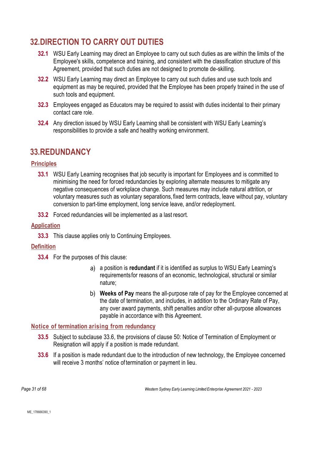# <span id="page-30-0"></span>**32.DIRECTION TO CARRY OUT DUTIES**

- **32.1** WSU Early Learning may direct an Employee to carry out such duties as are within the limits of the Employee's skills, competence and training, and consistent with the classification structure of this Agreement, provided that such duties are not designed to promote de-skilling.
- **32.2** WSU Early Learning may direct an Employee to carry out such duties and use such tools and equipment as may be required, provided that the Employee has been properly trained in the use of such tools and equipment.
- **32.3** Employees engaged as Educators may be required to assist with duties incidental to their primary contact care role.
- **32.4** Any direction issued by WSU Early Learning shall be consistent with WSU Early Learning's responsibilities to provide a safe and healthy working environment.

## <span id="page-30-1"></span>**33.REDUNDANCY**

### **Principles**

- **33.1** WSU Early Learning recognises that job security is important for Employees and is committed to minimising the need for forced redundancies by exploring alternate measures to mitigate any negative consequences of workplace change. Such measures may include natural attrition, or voluntary measures such as voluntary separations, fixed term contracts, leave without pay, voluntary conversion to part-time employment, long service leave, and/or redeployment.
- **33.2** Forced redundancies will be implemented as a last resort.

### **Application**

**33.3** This clause applies only to Continuing Employees.

### **Definition**

- **33.4** For the purposes of this clause:
	- a position is **redundant** if it is identified as surplus to WSU Early Learning's requirements for reasons of an economic, technological, structural or similar nature;
	- **Weeks of Pay** means the all-purpose rate of pay for the Employee concerned at the date of termination, and includes, in addition to the Ordinary Rate of Pay, any over award payments, shift penalties and/or other all-purpose allowances payable in accordance with this Agreement.

### **Notice of termination arising from redundancy**

- **33.5** Subject to subclause [33.6,](#page-30-2) the provisions of clause [50:](#page-47-0) Notice of Termination of Employment or Resignation will apply if a position is made redundant.
- <span id="page-30-2"></span>**33.6** If a position is made redundant due to the introduction of new technology, the Employee concerned will receive 3 months' notice of termination or payment in lieu.

*Page 31 of 68 Western Sydney Early Learning Limited Enterprise Agreement 2021 - 2023*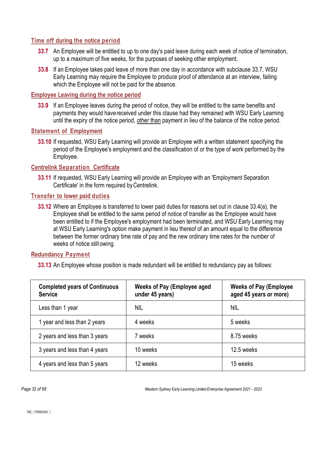### <span id="page-31-0"></span>**Time off during the notice period**

- **33.7** An Employee will be entitled to up to one day's paid leave during each week of notice of termination, up to a maximum of five weeks, for the purposes of seeking other employment.
- **33.8** If an Employee takes paid leave of more than one day in accordance with subclause [33.7,](#page-31-0) WSU Early Learning may require the Employee to produce proof of attendance at an interview, failing which the Employee will not be paid for the absence.

#### **Employee Leaving during the notice period**

**33.9** If an Employee leaves during the period of notice, they will be entitled to the same benefits and payments they would havereceived under this clause had they remained with WSU Early Learning until the expiry of the notice period, other than payment in lieu of the balance of the notice period.

### **Statement of Employment**

**33.10** If requested, WSU Early Learning will provide an Employee with a written statement specifying the period of the Employee's employment and the classification of or the type of work performed by the Employee.

### **Centrelink Separation Certificate**

**33.11** If requested, WSU Early Learning will provide an Employee with an 'Employment Separation Certificate' in the form required byCentrelink.

### **Transfer to lower paid duties**

**33.12** Where an Employee is transferred to lower paid duties for reasons set out in clause 33.4(a), the Employee shall be entitled to the same period of notice of transfer as the Employee would have been entitled to if the Employee's employment had been terminated, and WSU Early Learning may at WSU Early Learning's option make payment in lieu thereof of an amount equal to the difference between the former ordinary time rate of pay and the new ordinary time rates for the number of weeks of notice still owing.

### <span id="page-31-1"></span>**Redundancy Payment**

**33.13** An Employee whose position is made redundant will be entitled to redundancy pay as follows:

| <b>Completed years of Continuous</b><br><b>Service</b> | <b>Weeks of Pay (Employee aged</b><br>under 45 years) | <b>Weeks of Pay (Employee</b><br>aged 45 years or more) |
|--------------------------------------------------------|-------------------------------------------------------|---------------------------------------------------------|
| Less than 1 year                                       | <b>NIL</b>                                            | <b>NIL</b>                                              |
| 1 year and less than 2 years                           | 4 weeks                                               | 5 weeks                                                 |
| 2 years and less than 3 years                          | 7 weeks                                               | 8.75 weeks                                              |
| 3 years and less than 4 years                          | 10 weeks                                              | 12.5 weeks                                              |
| 4 years and less than 5 years                          | 12 weeks                                              | 15 weeks                                                |

*Page 32 of 68 Western Sydney Early Learning Limited Enterprise Agreement 2021 - 2023*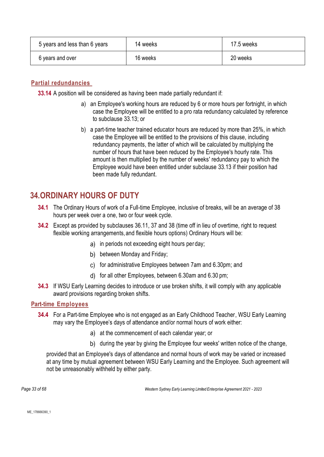| 5 years and less than 6 years | 14 weeks | 17.5 weeks |
|-------------------------------|----------|------------|
| 6 years and over              | 16 weeks | 20 weeks   |

### **Partial redundancies**

**33.14** A position will be considered as having been made partially redundant if:

- a) an Employee's working hours are reduced by 6 or more hours per fortnight, in which case the Employee will be entitled to a pro rata redundancy calculated by reference to subclause [33.13;](#page-31-1) or
- b) a part-time teacher trained educator hours are reduced by more than 25%, in which case the Employee will be entitled to the provisions of this clause, including redundancy payments, the latter of which will be calculated by multiplying the number of hours that have been reduced by the Employee's hourly rate. This amount is then multiplied by the number of weeks' redundancy pay to which the Employee would have been entitled under subclause [33.13](#page-31-1) if their position had been made fully redundant.

## <span id="page-32-0"></span>**34.ORDINARY HOURS OF DUTY**

- **34.1** The Ordinary Hours of work of a Full-time Employee, inclusive of breaks, will be an average of 38 hours per week over a one, two or four week cycle.
- <span id="page-32-1"></span>**34.2** Except as provided by subclauses [36.11,](#page-35-0) [37](#page-36-0) and [38](#page-38-0) (time off in lieu of overtime, right to request flexible working arrangements, and flexible hours options) Ordinary Hours will be:
	- a) in periods not exceeding eight hours per day;
	- b) between Monday and Friday;
	- c) for administrative Employees between 7am and 6.30pm; and
	- d) for all other Employees, between 6.30am and 6.30 pm;
- **34.3** If WSU Early Learning decides to introduce or use broken shifts, it will comply with any applicable award provisions regarding broken shifts.

### **Part-time Employees**

- **34.4** For a Part-time Employee who is not engaged as an Early Childhood Teacher, WSU Early Learning may vary the Employee's days of attendance and/or normal hours of work either:
	- a) at the commencement of each calendar year; or
	- b) during the year by giving the Employee four weeks' written notice of the change,

provided that an Employee's days of attendance and normal hours of work may be varied or increased at any time by mutual agreement between WSU Early Learning and the Employee. Such agreement will not be unreasonably withheld by either party.

*Page 33 of 68 Western Sydney Early Learning Limited Enterprise Agreement 2021 - 2023*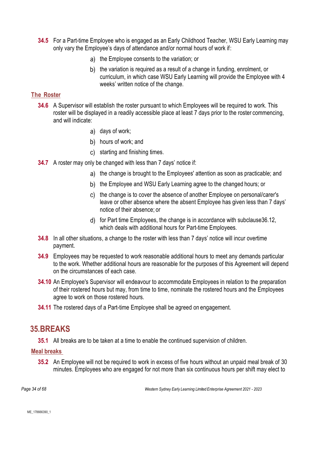- **34.5** For a Part-time Employee who is engaged as an Early Childhood Teacher, WSU Early Learning may only vary the Employee's days of attendance and/or normal hours of work if:
	- a) the Employee consents to the variation; or
	- b) the variation is required as a result of a change in funding, enrolment, or curriculum, in which case WSU Early Learning will provide the Employee with 4 weeks' written notice of the change.

### **The Roster**

- **34.6** A Supervisor will establish the roster pursuant to which Employees will be required to work. This roster will be displayed in a readily accessible place at least 7 days prior to the roster commencing, and will indicate:
	- a) days of work;
	- b) hours of work; and
	- c) starting and finishing times.
- **34.7** A roster may only be changed with less than 7 days' notice if:
	- a) the change is brought to the Employees' attention as soon as practicable; and
	- b) the Employee and WSU Early Learning agree to the changed hours; or
	- c) the change is to cover the absence of another Employee on personal/carer's leave or other absence where the absent Employee has given less than 7 days' notice of their absence; or
	- d) for Part time Employees, the change is in accordance with subclause 36.12, which deals with additional hours for Part-time Employees.
- **34.8** In all other situations, a change to the roster with less than 7 days' notice will incur overtime payment.
- **34.9** Employees may be requested to work reasonable additional hours to meet any demands particular to the work. Whether additional hours are reasonable for the purposes of this Agreement will depend on the circumstances of each case.
- **34.10** An Employee's Supervisor will endeavour to accommodate Employees in relation to the preparation of their rostered hours but may, from time to time, nominate the rostered hours and the Employees agree to work on those rostered hours.
- **34.11** The rostered days of a Part-time Employee shall be agreed on engagement.

### <span id="page-33-0"></span>**35.BREAKS**

**35.1** All breaks are to be taken at a time to enable the continued supervision of children.

### <span id="page-33-1"></span>**Meal breaks**

**35.2** An Employee will not be required to work in excess of five hours without an unpaid meal break of 30 minutes. Employees who are engaged for not more than six continuous hours per shift may elect to

*Page 34 of 68 Western Sydney Early Learning Limited Enterprise Agreement 2021 - 2023*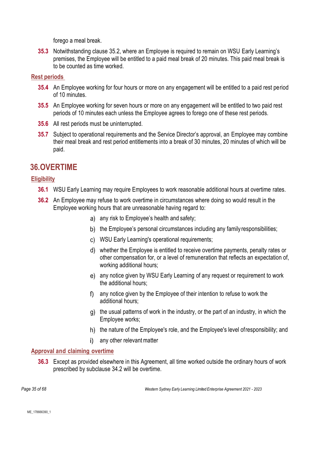forego a meal break.

**35.3** Notwithstanding clause [35.2,](#page-33-1) where an Employee is required to remain on WSU Early Learning's premises, the Employee will be entitled to a paid meal break of 20 minutes. This paid meal break is to be counted as time worked.

### **Rest periods**

- **35.4** An Employee working for four hours or more on any engagement will be entitled to a paid rest period of 10 minutes.
- **35.5** An Employee working for seven hours or more on any engagement will be entitled to two paid rest periods of 10 minutes each unless the Employee agrees to forego one of these rest periods.
- **35.6** All rest periods must be uninterrupted.
- **35.7** Subject to operational requirements and the Service Director's approval, an Employee may combine their meal break and rest period entitlements into a break of 30 minutes, 20 minutes of which will be paid.

## <span id="page-34-0"></span>**36.OVERTIME**

### **Eligibility**

- **36.1** WSU Early Learning may require Employees to work reasonable additional hours at overtime rates.
- **36.2** An Employee may refuse to work overtime in circumstances where doing so would result in the Employee working hours that are unreasonable having regard to:
	- a) any risk to Employee's health and safety;
	- b) the Employee's personal circumstances including any family responsibilities;
	- WSU Early Learning's operational requirements;
	- whether the Employee is entitled to receive overtime payments, penalty rates or other compensation for, or a level of remuneration that reflects an expectation of, working additional hours;
	- any notice given by WSU Early Learning of any request or requirement to work the additional hours;
	- any notice given by the Employee of their intention to refuse to work the additional hours;
	- $g$ ) the usual patterns of work in the industry, or the part of an industry, in which the Employee works;
	- h) the nature of the Employee's role, and the Employee's level of responsibility; and
	- i) any other relevant matter

### **Approval and claiming overtime**

**36.3** Except as provided elsewhere in this Agreement, all time worked outside the ordinary hours of work prescribed by subclause [34.2](#page-32-1) will be overtime.

*Page 35 of 68 Western Sydney Early Learning Limited Enterprise Agreement 2021 - 2023*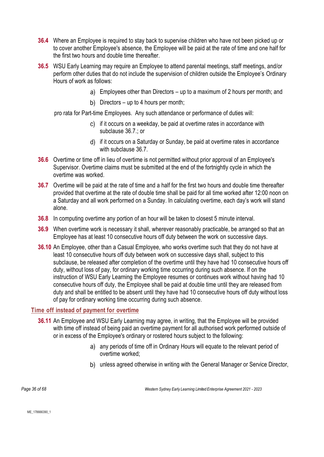- **36.4** Where an Employee is required to stay back to supervise children who have not been picked up or to cover another Employee's absence, the Employee will be paid at the rate of time and one half for the first two hours and double time thereafter.
- **36.5** WSU Early Learning may require an Employee to attend parental meetings, staff meetings, and/or perform other duties that do not include the supervision of children outside the Employee's Ordinary Hours of work as follows:
	- Employees other than Directors up to a maximum of 2 hours per month; and
	- b) Directors up to 4 hours per month;

pro rata for Part-time Employees. Any such attendance or performance of duties will:

- c) if it occurs on a weekday, be paid at overtime rates in accordance with subclause [36.7.](#page-35-1); or
- d) if it occurs on a Saturday or Sunday, be paid at overtime rates in accordance with subclause [36.7.](#page-35-1)
- **36.6** Overtime or time off in lieu of overtime is not permitted without prior approval of an Employee's Supervisor. Overtime claims must be submitted at the end of the fortnightly cycle in which the overtime was worked.
- <span id="page-35-1"></span>**36.7** Overtime will be paid at the rate of time and a half for the first two hours and double time thereafter provided that overtime at the rate of double time shall be paid for all time worked after 12:00 noon on a Saturday and all work performed on a Sunday. In calculating overtime, each day's work will stand alone.
- **36.8** In computing overtime any portion of an hour will be taken to closest 5 minute interval.
- **36.9** When overtime work is necessary it shall, wherever reasonably practicable, be arranged so that an Employee has at least 10 consecutive hours off duty between the work on successive days.
- **36.10** An Employee, other than a Casual Employee, who works overtime such that they do not have at least 10 consecutive hours off duty between work on successive days shall, subject to this subclause, be released after completion of the overtime until they have had 10 consecutive hours off duty, without loss of pay, for ordinary working time occurring during such absence. If on the instruction of WSU Early Learning the Employee resumes or continues work without having had 10 consecutive hours off duty, the Employee shall be paid at double time until they are released from duty and shall be entitled to be absent until they have had 10 consecutive hours off duty without loss of pay for ordinary working time occurring during such absence.

### <span id="page-35-0"></span>**Time off instead of payment for overtime**

- **36.11** An Employee and WSU Early Learning may agree, in writing, that the Employee will be provided with time off instead of being paid an overtime payment for all authorised work performed outside of or in excess of the Employee's ordinary or rostered hours subject to the following:
	- a) any periods of time off in Ordinary Hours will equate to the relevant period of overtime worked;
	- b) unless agreed otherwise in writing with the General Manager or Service Director,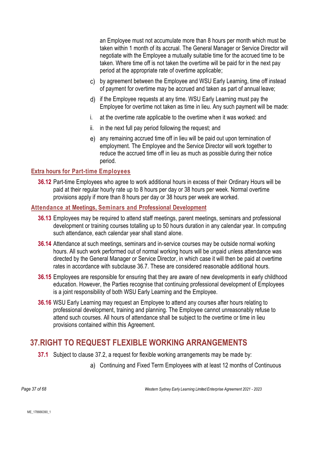an Employee must not accumulate more than 8 hours per month which must be taken within 1 month of its accrual. The General Manager or Service Director will negotiate with the Employee a mutually suitable time for the accrued time to be taken. Where time off is not taken the overtime will be paid for in the next pay period at the appropriate rate of overtime applicable;

- by agreement between the Employee and WSU Early Learning, time off instead of payment for overtime may be accrued and taken as part of annual leave;
- d) if the Employee requests at any time. WSU Early Learning must pay the Employee for overtime not taken as time in lieu. Any such payment will be made:
- i. at the overtime rate applicable to the overtime when it was worked: and
- ii. in the next full pay period following the request; and
- any remaining accrued time off in lieu will be paid out upon termination of employment. The Employee and the Service Director will work together to reduce the accrued time off in lieu as much as possible during their notice period.

#### **Extra hours for Part-time Employees**

**36.12** Part-time Employees who agree to work additional hours in excess of their Ordinary Hours will be paid at their regular hourly rate up to 8 hours per day or 38 hours per week. Normal overtime provisions apply if more than 8 hours per day or 38 hours per week are worked.

#### **Attendance at Meetings, Seminars and Professional Development**

- **36.13** Employees may be required to attend staff meetings, parent meetings, seminars and professional development or training courses totalling up to 50 hours duration in any calendar year. In computing such attendance, each calendar year shall stand alone.
- **36.14** Attendance at such meetings, seminars and in-service courses may be outside normal working hours. All such work performed out of normal working hours will be unpaid unless attendance was directed by the General Manager or Service Director, in which case it will then be paid at overtime rates in accordance with subclause [36.7.](#page-35-0) These are considered reasonable additional hours.
- <span id="page-36-0"></span>**36.15** Employees are responsible for ensuring that they are aware of new developments in early childhood education. However, the Parties recognise that continuing professional development of Employees is a joint responsibility of both WSU Early Learning and the Employee.
- **36.16** WSU Early Learning may request an Employee to attend any courses after hours relating to professional development, training and planning. The Employee cannot unreasonably refuse to attend such courses. All hours of attendance shall be subject to the overtime or time in lieu provisions contained within this Agreement.

### **37.RIGHT TO REQUEST FLEXIBLE WORKING ARRANGEMENTS**

- **37.1** Subject to clause [37.2,](#page-37-0) a request for flexible working arrangements may be made by:
	- Continuing and Fixed Term Employees with at least 12 months of Continuous

*Page 37 of 68 Western Sydney Early Learning Limited Enterprise Agreement 2021 - 2023*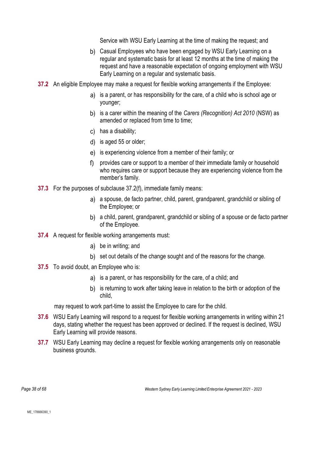Service with WSU Early Learning at the time of making the request; and

- b) Casual Employees who have been engaged by WSU Early Learning on a regular and systematic basis for at least 12 months at the time of making the request and have a reasonable expectation of ongoing employment with WSU Early Learning on a regular and systematic basis.
- <span id="page-37-0"></span>**37.2** An eligible Employee may make a request for flexible working arrangements if the Employee:
	- a) is a parent, or has responsibility for the care, of a child who is school age or younger;
	- is a carer within the meaning of the *Carers (Recognition) Act 2010* (NSW) as amended or replaced from time to time;
	- c) has a disability;
	- d) is aged 55 or older;
	- e) is experiencing violence from a member of their family; or
	- provides care or support to a member of their immediate family or household who requires care or support because they are experiencing violence from the member's family.
- <span id="page-37-1"></span>**37.3** For the purposes of subclaus[e 37.2\(](#page-37-0)[f\),](#page-37-1) immediate family means:
	- a) a spouse, de facto partner, child, parent, grandparent, grandchild or sibling of the Employee; or
	- a child, parent, grandparent, grandchild or sibling of a spouse or de facto partner of the Employee.
- **37.4** A request for flexible working arrangements must:
	- be in writing; and
	- b) set out details of the change sought and of the reasons for the change.
- **37.5** To avoid doubt, an Employee who is:
	- a) is a parent, or has responsibility for the care, of a child; and
	- b) is returning to work after taking leave in relation to the birth or adoption of the child,

may request to work part-time to assist the Employee to care for the child.

- **37.6** WSU Early Learning will respond to a request for flexible working arrangements in writing within 21 days, stating whether the request has been approved or declined. If the request is declined, WSU Early Learning will provide reasons.
- **37.7** WSU Early Learning may decline a request for flexible working arrangements only on reasonable business grounds.

*Page 38 of 68 Western Sydney Early Learning Limited Enterprise Agreement 2021 - 2023*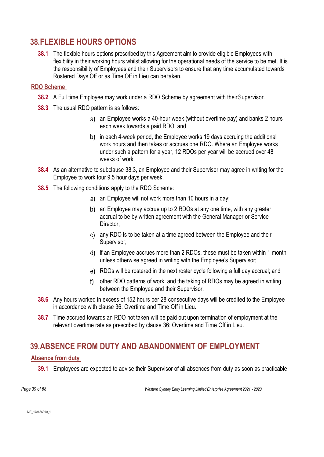### <span id="page-38-2"></span>**38.FLEXIBLE HOURS OPTIONS**

**38.1** The flexible hours options prescribed by this Agreement aim to provide eligible Employees with flexibility in their working hours whilst allowing for the operational needs of the service to be met. It is the responsibility of Employees and their Supervisors to ensure that any time accumulated towards Rostered Days Off or as Time Off in Lieu can be taken.

#### **RDO Scheme**

- **38.2** A Full time Employee may work under a RDO Scheme by agreement with their Supervisor.
- <span id="page-38-0"></span>**38.3** The usual RDO pattern is as follows:
	- a) an Employee works a 40-hour week (without overtime pay) and banks 2 hours each week towards a paid RDO; and
	- b) in each 4-week period, the Employee works 19 days accruing the additional work hours and then takes or accrues one RDO. Where an Employee works under such a pattern for a year, 12 RDOs per year will be accrued over 48 weeks of work.
- **38.4** As an alternative to subclause [38.3,](#page-38-0) an Employee and their Supervisor may agree in writing for the Employee to work four 9.5 hour days per week.
- **38.5** The following conditions apply to the RDO Scheme:
	- a) an Employee will not work more than 10 hours in a day;
	- b) an Employee may accrue up to 2 RDOs at any one time, with any greater accrual to be by written agreement with the General Manager or Service Director:
	- any RDO is to be taken at a time agreed between the Employee and their Supervisor;
	- if an Employee accrues more than 2 RDOs, these must be taken within 1 month unless otherwise agreed in writing with the Employee's Supervisor;
	- RDOs will be rostered in the next roster cycle following a full day accrual; and
	- other RDO patterns of work, and the taking of RDOs may be agreed in writing between the Employee and their Supervisor.
- **38.6** Any hours worked in excess of 152 hours per 28 consecutive days will be credited to the Employee in accordance with clause [36:](#page-34-0) Overtime and Time Off in Lieu.
- **38.7** Time accrued towards an RDO not taken will be paid out upon termination of employment at the relevant overtime rate as prescribed by clause [36:](#page-34-0) Overtime and Time Off in Lieu.

### **39.ABSENCE FROM DUTY AND ABANDONMENT OF EMPLOYMENT**

#### <span id="page-38-1"></span>**Absence from duty**

**39.1** Employees are expected to advise their Supervisor of all absences from duty as soon as practicable

*Page 39 of 68 Western Sydney Early Learning Limited Enterprise Agreement 2021 - 2023*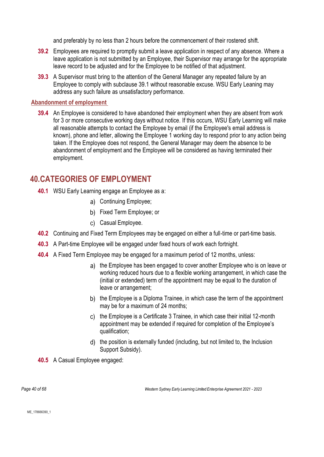and preferably by no less than 2 hours before the commencement of their rostered shift.

- **39.2** Employees are required to promptly submit a leave application in respect of any absence. Where a leave application is not submitted by an Employee, their Supervisor may arrange for the appropriate leave record to be adjusted and for the Employee to be notified of that adjustment.
- **39.3** A Supervisor must bring to the attention of the General Manager any repeated failure by an Employee to comply with subclause [39.1](#page-38-1) without reasonable excuse. WSU Early Leaning may address any such failure as unsatisfactory performance.

#### **Abandonment of employment**

**39.4** An Employee is considered to have abandoned their employment when they are absent from work for 3 or more consecutive working days without notice. If this occurs, WSU Early Learning will make all reasonable attempts to contact the Employee by email (if the Employee's email address is known), phone and letter, allowing the Employee 1 working day to respond prior to any action being taken. If the Employee does not respond, the General Manager may deem the absence to be abandonment of employment and the Employee will be considered as having terminated their employment.

### **40.CATEGORIES OF EMPLOYMENT**

- **40.1** WSU Early Learning engage an Employee as a:
	- a) Continuing Employee;
	- b) Fixed Term Employee; or
	- c) Casual Employee.
- **40.2** Continuing and Fixed Term Employees may be engaged on either a full-time or part-time basis.
- **40.3** A Part-time Employee will be engaged under fixed hours of work each fortnight.
- **40.4** A Fixed Term Employee may be engaged for a maximum period of 12 months, unless:
	- a) the Employee has been engaged to cover another Employee who is on leave or working reduced hours due to a flexible working arrangement, in which case the (initial or extended) term of the appointment may be equal to the duration of leave or arrangement;
	- b) the Employee is a Diploma Trainee, in which case the term of the appointment may be for a maximum of 24 months;
	- the Employee is a Certificate 3 Trainee, in which case their initial 12-month appointment may be extended if required for completion of the Employee's qualification;
	- the position is externally funded (including, but not limited to, the Inclusion Support Subsidy).

**40.5** A Casual Employee engaged: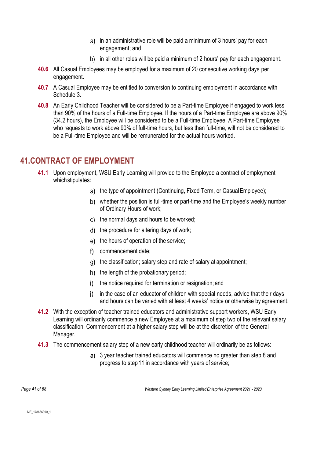- a) in an administrative role will be paid a minimum of 3 hours' pay for each engagement; and
- b) in all other roles will be paid a minimum of 2 hours' pay for each engagement.
- **40.6** All Casual Employees may be employed for a maximum of 20 consecutive working days per engagement.
- **40.7** A Casual Employee may be entitled to conversion to continuing employment in accordance with Schedule 3.
- **40.8** An Early Childhood Teacher will be considered to be a Part-time Employee if engaged to work less than 90% of the hours of a Full-time Employee. If the hours of a Part-time Employee are above 90% (34.2 hours), the Employee will be considered to be a Full-time Employee. A Part-time Employee who requests to work above 90% of full-time hours, but less than full-time, will not be considered to be a Full-time Employee and will be remunerated for the actual hours worked.

### **41.CONTRACT OF EMPLOYMENT**

- **41.1** Upon employment, WSU Early Learning will provide to the Employee a contract of employment whichstipulates:
	- a) the type of appointment (Continuing, Fixed Term, or Casual Employee);
	- b) whether the position is full-time or part-time and the Employee's weekly number of Ordinary Hours of work;
	- $\mathbf{c}$ ) the normal days and hours to be worked;
	- d) the procedure for altering days of work;
	- e) the hours of operation of the service;
	- commencement date;
	- g) the classification; salary step and rate of salary at appointment;
	- $h$ ) the length of the probationary period;
	- i) the notice required for termination or resignation; and
	- in the case of an educator of children with special needs, advice that their days and hours can be varied with at least 4 weeks' notice or otherwise by agreement.
- **41.2** With the exception of teacher trained educators and administrative support workers, WSU Early Learning will ordinarily commence a new Employee at a maximum of step two of the relevant salary classification. Commencement at a higher salary step will be at the discretion of the General Manager.
- **41.3** The commencement salary step of a new early childhood teacher will ordinarily be as follows:
	- 3 year teacher trained educators will commence no greater than step 8 and progress to step11 in accordance with years of service;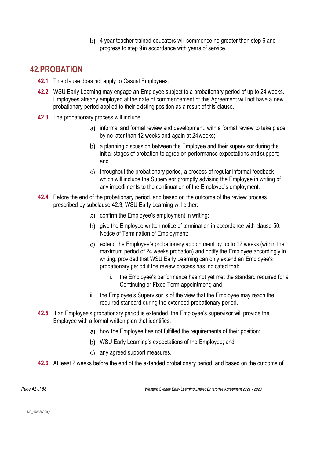4 year teacher trained educators will commence no greater than step 6 and progress to step 9in accordance with years of service.

### <span id="page-41-1"></span>**42.PROBATION**

- **42.1** This clause does not apply to Casual Employees.
- **42.2** WSU Early Learning may engage an Employee subject to a probationary period of up to 24 weeks. Employees already employed at the date of commencement of this Agreement will not have a new probationary period applied to their existing position as a result of this clause.
- <span id="page-41-0"></span>**42.3** The probationary process will include:
	- a) informal and formal review and development, with a formal review to take place by no later than 12 weeks and again at 24weeks;
	- b) a planning discussion between the Employee and their supervisor during the initial stages of probation to agree on performance expectations and support; and
	- c) throughout the probationary period, a process of regular informal feedback, which will include the Supervisor promptly advising the Employee in writing of any impediments to the continuation of the Employee's employment.
- **42.4** Before the end of the probationary period, and based on the outcome of the review process prescribed by subclause [42.3,](#page-41-0) WSU Early Learning will either:
	- confirm the Employee's employment in writing;
	- b) give the Employee written notice of termination in accordance with clause [50:](#page-47-0) Notice of Termination of Employment;
	- extend the Employee's probationary appointment by up to 12 weeks (within the maximum period of 24 weeks probation) and notify the Employee accordingly in writing, provided that WSU Early Learning can only extend an Employee's probationary period if the review process has indicated that:
		- i. the Employee's performance has not yet met the standard required for a Continuing or Fixed Term appointment; and
	- ii. the Employee's Supervisor is of the view that the Employee may reach the required standard during the extended probationary period.
- **42.5** If an Employee's probationary period is extended, the Employee's supervisor will provide the Employee with a formal written plan that identifies:
	- a) how the Employee has not fulfilled the requirements of their position;
	- WSU Early Learning's expectations of the Employee; and
	- c) any agreed support measures.
- **42.6** At least 2 weeks before the end of the extended probationary period, and based on the outcome of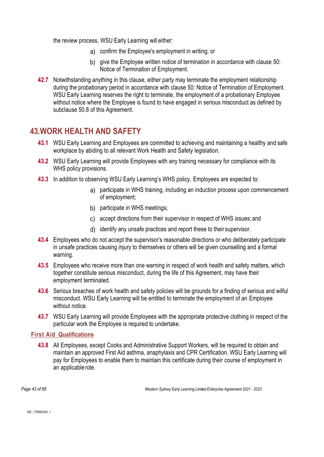the review process, WSU Early Learning will either:

- confirm the Employee's employment in writing; or
- b) give the Employee written notice of termination in accordance with clause [50:](#page-47-0) Notice of Termination of Employment.
- **42.7** Notwithstanding anything in this clause, either party may terminate the employment relationship during the probationary period in accordance with clause [50:](#page-47-0) Notice of Termination of Employment. WSU Early Learning reserves the right to terminate, the employment of a probationary Employee without notice where the Employee is found to have engaged in serious misconduct as defined by subclause [50.8](#page-48-0) of this Agreement.

### **43.WORK HEALTH AND SAFETY**

- **43.1** WSU Early Learning and Employees are committed to achieving and maintaining a healthy and safe workplace by abiding to all relevant Work Health and Safety legislation.
- **43.2** WSU Early Learning will provide Employees with any training necessary for compliance with its WHS policy provisions.
- **43.3** In addition to observing WSU Early Learning's WHS policy, Employees are expected to:
	- a) participate in WHS training, including an induction process upon commencement of employment;
	- b) participate in WHS meetings;
	- accept directions from their supervisor in respect of WHS issues; and
	- d) identify any unsafe practices and report these to their supervisor.
- **43.4** Employees who do not accept the supervisor's reasonable directions or who deliberately participate in unsafe practices causing injury to themselves or others will be given counselling and a formal warning.
- **43.5** Employees who receive more than one warning in respect of work health and safety matters, which together constitute serious misconduct, during the life of this Agreement, may have their employment terminated.
- **43.6** Serious breaches of work health and safety policies will be grounds for a finding of serious and wilful misconduct. WSU Early Learning will be entitled to terminate the employment of an Employee without notice.
- **43.7** WSU Early Learning will provide Employees with the appropriate protective clothing in respect of the particular work the Employee is required to undertake.

#### **First Aid Qualifications**

**43.8** All Employees, except Cooks and Administrative Support Workers, will be required to obtain and maintain an approved First Aid asthma, anaphylaxis and CPR Certification. WSU Early Learning will pay for Employees to enable them to maintain this certificate during their course of employment in an applicable role.

*Page 43 of 68 Western Sydney Early Learning Limited Enterprise Agreement 2021 - 2023*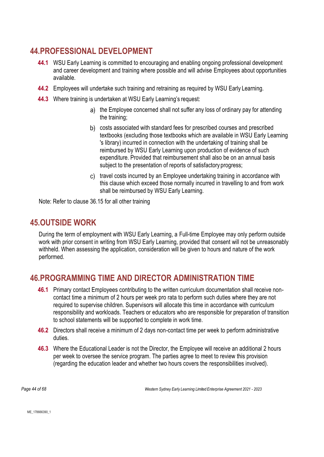### **44.PROFESSIONAL DEVELOPMENT**

- **44.1** WSU Early Learning is committed to encouraging and enabling ongoing professional development and career development and training where possible and will advise Employees about opportunities available.
- **44.2** Employees will undertake such training and retraining as required by WSU Early Learning.
- **44.3** Where training is undertaken at WSU Early Learning's request:
	- a) the Employee concerned shall not suffer any loss of ordinary pay for attending the training;
	- costs associated with standard fees for prescribed courses and prescribed textbooks (excluding those textbooks which are available in WSU Early Learning 's library) incurred in connection with the undertaking of training shall be reimbursed by WSU Early Learning upon production of evidence of such expenditure. Provided that reimbursement shall also be on an annual basis subject to the presentation of reports of satisfactory progress;
	- c) travel costs incurred by an Employee undertaking training in accordance with this clause which exceed those normally incurred in travelling to and from work shall be reimbursed by WSU Early Learning.

Note: Refer to clause [36.15](#page-36-0) for all other training

### **45.OUTSIDE WORK**

During the term of employment with WSU Early Learning, a Full-time Employee may only perform outside work with prior consent in writing from WSU Early Learning, provided that consent will not be unreasonably withheld. When assessing the application, consideration will be given to hours and nature of the work performed.

### **46.PROGRAMMING TIME AND DIRECTOR ADMINISTRATION TIME**

- **46.1** Primary contact Employees contributing to the written curriculum documentation shall receive noncontact time a minimum of 2 hours per week pro rata to perform such duties where they are not required to supervise children. Supervisors will allocate this time in accordance with curriculum responsibility and workloads. Teachers or educators who are responsible for preparation of transition to school statements will be supported to complete in work time.
- **46.2** Directors shall receive a minimum of 2 days non-contact time per week to perform administrative duties.
- **46.3** Where the Educational Leader is not the Director, the Employee will receive an additional 2 hours per week to oversee the service program. The parties agree to meet to review this provision (regarding the education leader and whether two hours covers the responsibilities involved).

*Page 44 of 68 Western Sydney Early Learning Limited Enterprise Agreement 2021 - 2023*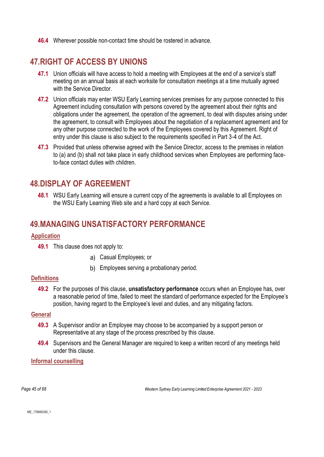**46.4** Wherever possible non-contact time should be rostered in advance.

### **47.RIGHT OF ACCESS BY UNIONS**

- **47.1** Union officials will have access to hold a meeting with Employees at the end of a service's staff meeting on an annual basis at each worksite for consultation meetings at a time mutually agreed with the Service Director
- **47.2** Union officials may enter WSU Early Learning services premises for any purpose connected to this Agreement including consultation with persons covered by the agreement about their rights and obligations under the agreement, the operation of the agreement, to deal with disputes arising under the agreement, to consult with Employees about the negotiation of a replacement agreement and for any other purpose connected to the work of the Employees covered by this Agreement. Right of entry under this clause is also subject to the requirements specified in Part 3-4 of the Act.
- **47.3** Provided that unless otherwise agreed with the Service Director, access to the premises in relation to (a) and (b) shall not take place in early childhood services when Employees are performing faceto-face contact duties with children.

### **48.DISPLAY OF AGREEMENT**

**48.1** WSU Early Learning will ensure a current copy of the agreements is available to all Employees on the WSU Early Learning Web site and a hard copy at each Service.

### **49.MANAGING UNSATISFACTORY PERFORMANCE**

#### **Application**

- **49.1** This clause does not apply to:
	- Casual Employees; or
	- b) Employees serving a probationary period.

#### **Definitions**

**49.2** For the purposes of this clause, **unsatisfactory performance** occurs when an Employee has, over a reasonable period of time, failed to meet the standard of performance expected for the Employee's position, having regard to the Employee's level and duties, and any mitigating factors.

#### **General**

- **49.3** A Supervisor and/or an Employee may choose to be accompanied by a support person or Representative at any stage of the process prescribed by this clause.
- **49.4** Supervisors and the General Manager are required to keep a written record of any meetings held under this clause.

**Informal counselling**

*Page 45 of 68 Western Sydney Early Learning Limited Enterprise Agreement 2021 - 2023*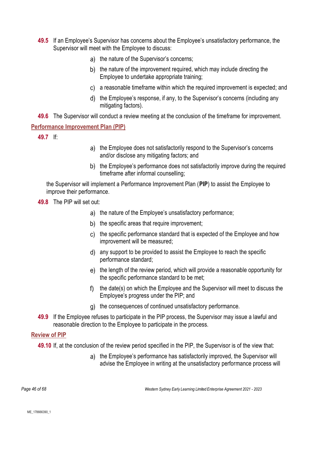- **49.5** If an Employee's Supervisor has concerns about the Employee's unsatisfactory performance, the Supervisor will meet with the Employee to discuss:
	- a) the nature of the Supervisor's concerns;
	- b) the nature of the improvement required, which may include directing the Employee to undertake appropriate training;
	- a reasonable timeframe within which the required improvement is expected; and
	- the Employee's response, if any, to the Supervisor's concerns (including any mitigating factors).

**49.6** The Supervisor will conduct a review meeting at the conclusion of the timeframe for improvement.

#### **Performance Improvement Plan (PIP)**

**49.7** If:

- a) the Employee does not satisfactorily respond to the Supervisor's concerns and/or disclose any mitigating factors; and
- b) the Employee's performance does not satisfactorily improve during the required timeframe after informal counselling;

the Supervisor will implement a Performance Improvement Plan (**PIP**) to assist the Employee to improve their performance.

**49.8** The PIP will set out:

- a) the nature of the Employee's unsatisfactory performance;
- b) the specific areas that require improvement;
- c) the specific performance standard that is expected of the Employee and how improvement will be measured;
- any support to be provided to assist the Employee to reach the specific performance standard;
- the length of the review period, which will provide a reasonable opportunity for the specific performance standard to be met;
- f) the date(s) on which the Employee and the Supervisor will meet to discuss the Employee's progress under the PIP; and
- q) the consequences of continued unsatisfactory performance.
- **49.9** If the Employee refuses to participate in the PIP process, the Supervisor may issue a lawful and reasonable direction to the Employee to participate in the process.

#### **Review of PIP**

**49.10** If, at the conclusion of the review period specified in the PIP, the Supervisor is of the view that:

a) the Employee's performance has satisfactorily improved, the Supervisor will advise the Employee in writing at the unsatisfactory performance process will

*Page 46 of 68 Western Sydney Early Learning Limited Enterprise Agreement 2021 - 2023*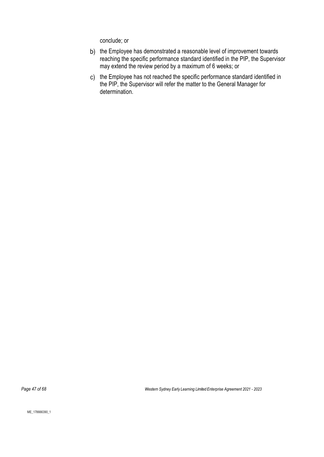conclude; or

- b) the Employee has demonstrated a reasonable level of improvement towards reaching the specific performance standard identified in the PIP, the Supervisor may extend the review period by a maximum of 6 weeks; or
- c) the Employee has not reached the specific performance standard identified in the PIP, the Supervisor will refer the matter to the General Manager for determination.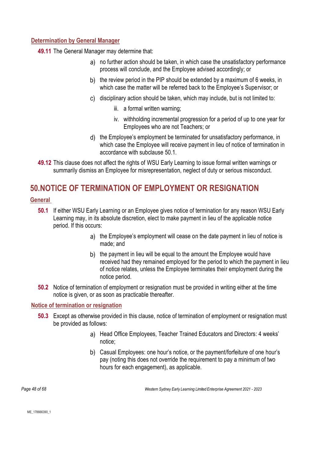#### **Determination by General Manager**

**49.11** The General Manager may determine that:

- a) no further action should be taken, in which case the unsatisfactory performance process will conclude, and the Employee advised accordingly; or
- b) the review period in the PIP should be extended by a maximum of 6 weeks, in which case the matter will be referred back to the Employee's Supervisor; or
- disciplinary action should be taken, which may include, but is not limited to:
	- iii. a formal written warning;
	- iv. withholding incremental progression for a period of up to one year for Employees who are not Teachers; or
- d) the Employee's employment be terminated for unsatisfactory performance, in which case the Employee will receive payment in lieu of notice of termination in accordance with subclause [50.1.](#page-47-1)
- **49.12** This clause does not affect the rights of WSU Early Learning to issue formal written warnings or summarily dismiss an Employee for misrepresentation, neglect of duty or serious misconduct.

### <span id="page-47-0"></span>**50.NOTICE OF TERMINATION OF EMPLOYMENT OR RESIGNATION**

#### <span id="page-47-1"></span>**General**

- **50.1** If either WSU Early Learning or an Employee gives notice of termination for any reason WSU Early Learning may, in its absolute discretion, elect to make payment in lieu of the applicable notice period. If this occurs:
	- a) the Employee's employment will cease on the date payment in lieu of notice is made; and
	- b) the payment in lieu will be equal to the amount the Employee would have received had they remained employed for the period to which the payment in lieu of notice relates, unless the Employee terminates their employment during the notice period.
- **50.2** Notice of termination of employment or resignation must be provided in writing either at the time notice is given, or as soon as practicable thereafter.

#### <span id="page-47-2"></span>**Notice of termination or resignation**

- **50.3** Except as otherwise provided in this clause, notice of termination of employment or resignation must be provided as follows:
	- a) Head Office Employees, Teacher Trained Educators and Directors: 4 weeks' notice;
	- b) Casual Employees: one hour's notice, or the payment/forfeiture of one hour's pay (noting this does not override the requirement to pay a minimum of two hours for each engagement), as applicable.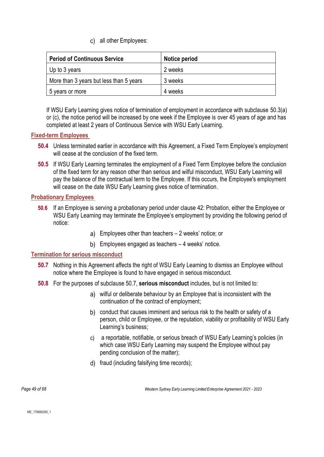all other Employees:

| <b>Period of Continuous Service</b>     | Notice period |
|-----------------------------------------|---------------|
| Up to 3 years                           | 2 weeks       |
| More than 3 years but less than 5 years | 3 weeks       |
| vears or more<br>5                      | 4 weeks       |

If WSU Early Learning gives notice of termination of employment in accordance with subclause [50.3\(](#page-47-2)a) or (c), the notice period will be increased by one week if the Employee is over 45 years of age and has completed at least 2 years of Continuous Service with WSU Early Learning.

#### **Fixed-term Employees**

- **50.4** Unless terminated earlier in accordance with this Agreement, a Fixed Term Employee's employment will cease at the conclusion of the fixed term.
- **50.5** If WSU Early Learning terminates the employment of a Fixed Term Employee before the conclusion of the fixed term for any reason other than serious and wilful misconduct, WSU Early Learning will pay the balance of the contractual term to the Employee. If this occurs, the Employee's employment will cease on the date WSU Early Learning gives notice of termination.

#### **Probationary Employees**

- **50.6** If an Employee is serving a probationary period under clause [42:](#page-41-1) Probation, either the Employee or WSU Early Learning may terminate the Employee's employment by providing the following period of notice:
	- Employees other than teachers 2 weeks' notice; or
	- b) Employees engaged as teachers 4 weeks' notice.

#### <span id="page-48-1"></span>**Termination for serious misconduct**

- **50.7** Nothing in this Agreement affects the right of WSU Early Learning to dismiss an Employee without notice where the Employee is found to have engaged in serious misconduct.
- <span id="page-48-0"></span>**50.8** For the purposes of subclause [50.7,](#page-48-1) **serious misconduct** includes, but is not limited to:
	- wilful or deliberate behaviour by an Employee that is inconsistent with the continuation of the contract of employment;
	- conduct that causes imminent and serious risk to the health or safety of a person, child or Employee, or the reputation, viability or profitability of WSU Early Learning's business;
	- a reportable, notifiable, or serious breach of WSU Early Learning's policies (in which case WSU Early Learning may suspend the Employee without pay pending conclusion of the matter);
	- d) fraud (including falsifying time records);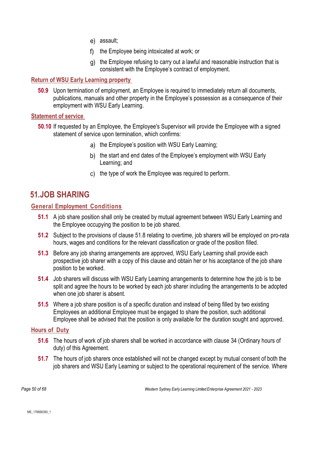- e) assault:
- f) the Employee being intoxicated at work; or
- the Employee refusing to carry out a lawful and reasonable instruction that is consistent with the Employee's contract of employment.

#### **Return of WSU Early Learning property**

**50.9** Upon termination of employment, an Employee is required to immediately return all documents, publications, manuals and other property in the Employee's possession as a consequence of their employment with WSU Early Learning.

#### **Statement of service**

- **50.10** If requested by an Employee, the Employee's Supervisor will provide the Employee with a signed statement of service upon termination, which confirms:
	- a) the Employee's position with WSU Early Learning;
	- b) the start and end dates of the Employee's employment with WSU Early Learning; and
	- c) the type of work the Employee was required to perform.

### **51.JOB SHARING**

#### **General Employment Conditions**

- **51.1** A job share position shall only be created by mutual agreement between WSU Early Learning and the Employee occupying the position to be job shared.
- **51.2** Subject to the provisions of clause [51.8](#page-50-0) relating to overtime, job sharers will be employed on pro-rata hours, wages and conditions for the relevant classification or grade of the position filled.
- **51.3** Before any job sharing arrangements are approved, WSU Early Learning shall provide each prospective job sharer with a copy of this clause and obtain her or his acceptance of the job share position to be worked.
- **51.4** Job sharers will discuss with WSU Early Learning arrangements to determine how the job is to be split and agree the hours to be worked by each job sharer including the arrangements to be adopted when one job sharer is absent.
- **51.5** Where a job share position is of a specific duration and instead of being filled by two existing Employees an additional Employee must be engaged to share the position, such additional Employee shall be advised that the position is only available for the duration sought and approved.

#### **Hours of Duty**

- **51.6** The hours of work of job sharers shall be worked in accordance with clause [34](#page-32-0) (Ordinary hours of duty) of this Agreement.
- **51.7** The hours of job sharers once established will not be changed except by mutual consent of both the job sharers and WSU Early Learning or subject to the operational requirement of the service. Where

*Page 50 of 68 Western Sydney Early Learning Limited Enterprise Agreement 2021 - 2023*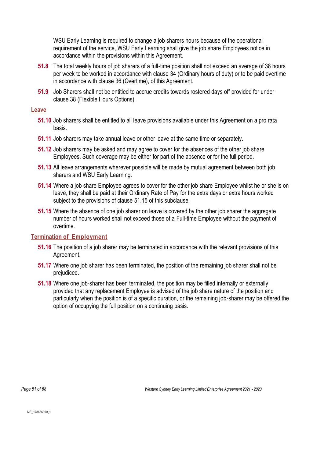WSU Early Learning is required to change a job sharers hours because of the operational requirement of the service, WSU Early Learning shall give the job share Employees notice in accordance within the provisions within this Agreement.

- <span id="page-50-0"></span>**51.8** The total weekly hours of job sharers of a full-time position shall not exceed an average of 38 hours per week to be worked in accordance with clause [34](#page-32-0) (Ordinary hours of duty) or to be paid overtime in accordance with clause [36](#page-34-0) (Overtime), of this Agreement.
- **51.9** Job Sharers shall not be entitled to accrue credits towards rostered days off provided for under clause [38](#page-38-2) (Flexible Hours Options).

#### **Leave**

- **51.10** Job sharers shall be entitled to all leave provisions available under this Agreement on a pro rata basis.
- **51.11** Job sharers may take annual leave or other leave at the same time or separately.
- **51.12** Job sharers may be asked and may agree to cover for the absences of the other job share Employees. Such coverage may be either for part of the absence or for the full period.
- **51.13** All leave arrangements wherever possible will be made by mutual agreement between both job sharers and WSU Early Learning.
- **51.14** Where a job share Employee agrees to cover for the other job share Employee whilst he or she is on leave, they shall be paid at their Ordinary Rate of Pay for the extra days or extra hours worked subject to the provisions of clause [51.15](#page-50-1) of this subclause.
- <span id="page-50-1"></span>**51.15** Where the absence of one job sharer on leave is covered by the other job sharer the aggregate number of hours worked shall not exceed those of a Full-time Employee without the payment of overtime.

#### **Termination of Employment**

- **51.16** The position of a job sharer may be terminated in accordance with the relevant provisions of this Agreement.
- **51.17** Where one job sharer has been terminated, the position of the remaining job sharer shall not be prejudiced.
- **51.18** Where one job-sharer has been terminated, the position may be filled internally or externally provided that any replacement Employee is advised of the job share nature of the position and particularly when the position is of a specific duration, or the remaining job-sharer may be offered the option of occupying the full position on a continuing basis.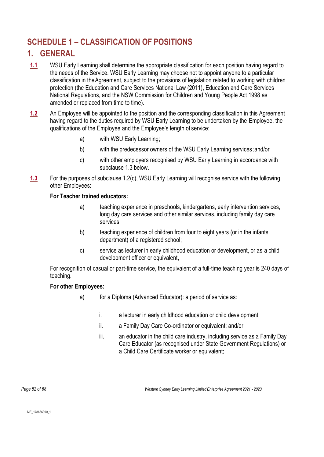## **SCHEDULE 1 – CLASSIFICATION OF POSITIONS**

### **1. GENERAL**

- **1.1** WSU Early Learning shall determine the appropriate classification for each position having regard to the needs of the Service. WSU Early Learning may choose not to appoint anyone to a particular classification in theAgreement, subject to the provisions of legislation related to working with children protection (the Education and Care Services National Law (2011), Education and Care Services National Regulations, and the NSW Commission for Children and Young People Act 1998 as amended or replaced from time to time).
- **1.2** An Employee will be appointed to the position and the corresponding classification in this Agreement having regard to the duties required by WSU Early Learning to be undertaken by the Employee, the qualifications of the Employee and the Employee's length of service:
	- a) with WSU Early Learning;
	- b) with the predecessor owners of the WSU Early Learning services;and/or
	- c) with other employers recognised by WSU Early Learning in accordance with subclause 1.3 below.
- **1.3** For the purposes of subclause 1.2(c), WSU Early Learning will recognise service with the following other Employees:

#### **For Teacher trained educators:**

- a) teaching experience in preschools, kindergartens, early intervention services, long day care services and other similar services, including family day care services;
- b) teaching experience of children from four to eight years (or in the infants department) of a registered school;
- c) service as lecturer in early childhood education or development, or as a child development officer or equivalent,

For recognition of casual or part-time service, the equivalent of a full-time teaching year is 240 days of teaching.

#### **For other Employees:**

- a) for a Diploma (Advanced Educator): a period of service as:
	- i. a lecturer in early childhood education or child development;
	- ii. a Family Day Care Co-ordinator or equivalent; and/or
	- iii. an educator in the child care industry, including service as a Family Day Care Educator (as recognised under State Government Regulations) or a Child Care Certificate worker or equivalent;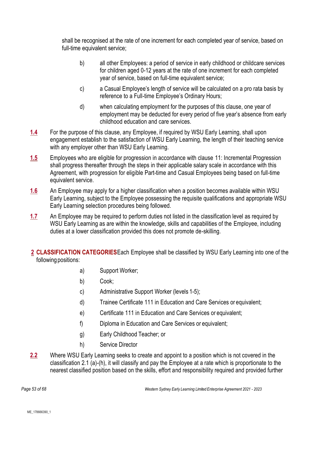shall be recognised at the rate of one increment for each completed year of service, based on full-time equivalent service;

- b) all other Employees: a period of service in early childhood or childcare services for children aged 0-12 years at the rate of one increment for each completed year of service, based on full-time equivalent service;
- c) a Casual Employee's length of service will be calculated on a pro rata basis by reference to a Full-time Employee's Ordinary Hours;
- d) when calculating employment for the purposes of this clause, one year of employment may be deducted for every period of five year's absence from early childhood education and care services.
- **1.4** For the purpose of this clause, any Employee, if required by WSU Early Learning, shall upon engagement establish to the satisfaction of WSU Early Learning, the length of their teaching service with any employer other than WSU Early Learning.
- **1.5** Employees who are eligible for progression in accordance with clause [11:](#page-10-0) Incremental Progression shall progress thereafter through the steps in their applicable salary scale in accordance with this Agreement, with progression for eligible Part-time and Casual Employees being based on full-time equivalent service.
- **1.6** An Employee may apply for a higher classification when a position becomes available within WSU Early Learning, subject to the Employee possessing the requisite qualifications and appropriate WSU Early Learning selection procedures being followed.
- **1.7** An Employee may be required to perform duties not listed in the classification level as required by WSU Early Learning as are within the knowledge, skills and capabilities of the Employee, including duties at a lower classification provided this does not promote de-skilling.
- **2 CLASSIFICATION CATEGORIES**Each Employee shall be classified by WSU Early Learning into one of the following positions:
	- a) Support Worker;
	- b) Cook;
	- c) Administrative Support Worker (levels 1-5);
	- d) Trainee Certificate 111 in Education and Care Services or equivalent;
	- e) Certificate 111 in Education and Care Services or equivalent;
	- f) Diploma in Education and Care Services or equivalent;
	- g) Early Childhood Teacher; or
	- h) Service Director
- **2.2** Where WSU Early Learning seeks to create and appoint to a position which is not covered in the classification 2.1 (a)-(h), it will classify and pay the Employee at a rate which is proportionate to the nearest classified position based on the skills, effort and responsibility required and provided further

*Page 53 of 68 Western Sydney Early Learning Limited Enterprise Agreement 2021 - 2023*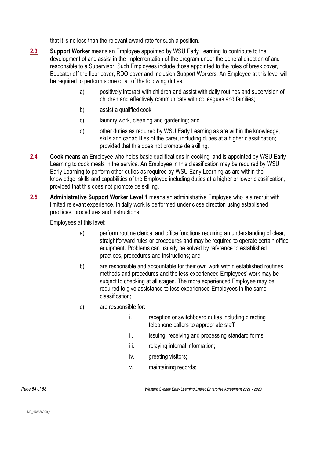that it is no less than the relevant award rate for such a position.

- **2.3 Support Worker** means an Employee appointed by WSU Early Learning to contribute to the development of and assist in the implementation of the program under the general direction of and responsible to a Supervisor. Such Employees include those appointed to the roles of break cover, Educator off the floor cover, RDO cover and Inclusion Support Workers. An Employee at this level will be required to perform some or all of the following duties:
	- a) positively interact with children and assist with daily routines and supervision of children and effectively communicate with colleagues and families;
	- b) assist a qualified cook;
	- c) laundry work, cleaning and gardening; and
	- d) other duties as required by WSU Early Learning as are within the knowledge, skills and capabilities of the carer, including duties at a higher classification; provided that this does not promote de skilling.
- **2.4 Cook** means an Employee who holds basic qualifications in cooking, and is appointed by WSU Early Learning to cook meals in the service. An Employee in this classification may be required by WSU Early Learning to perform other duties as required by WSU Early Learning as are within the knowledge, skills and capabilities of the Employee including duties at a higher or lower classification, provided that this does not promote de skilling.
- **2.5 Administrative Support Worker Level 1** means an administrative Employee who is a recruit with limited relevant experience. Initially work is performed under close direction using established practices, procedures and instructions.

Employees at this level:

- a) perform routine clerical and office functions requiring an understanding of clear, straightforward rules or procedures and may be required to operate certain office equipment. Problems can usually be solved by reference to established practices, procedures and instructions; and
- b) are responsible and accountable for their own work within established routines, methods and procedures and the less experienced Employees' work may be subject to checking at all stages. The more experienced Employee may be required to give assistance to less experienced Employees in the same classification;
- c) are responsible for:
	- i. reception or switchboard duties including directing telephone callers to appropriate staff;
	- ii. issuing, receiving and processing standard forms;
	- iii. relaying internal information;
	- iv. greeting visitors;
	- v. maintaining records;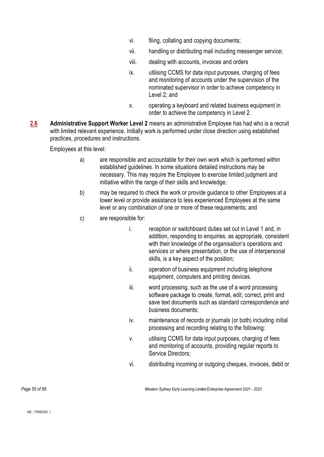- vi. filing, collating and copying documents;
- vii. handling or distributing mail including messenger service;
- viii. dealing with accounts, invoices and orders
- ix. utilising CCMS for data input purposes, charging of fees and monitoring of accounts under the supervision of the nominated supervisor in order to achieve competency in Level 2; and
- x. operating a keyboard and related business equipment in order to achieve the competency in Level 2.
- **2.6 Administrative Support Worker Level 2** means an administrative Employee has had who is a recruit with limited relevant experience. Initially work is performed under close direction using established practices, procedures and instructions.

Employees at this level:

- a) are responsible and accountable for their own work which is performed within established guidelines. In some situations detailed instructions may be necessary. This may require the Employee to exercise limited judgment and initiative within the range of their skills and knowledge;
- b) may be required to check the work or provide guidance to other Employees at a lower level or provide assistance to less experienced Employees at the same level or any combination of one or more of these requirements; and
- c) are responsible for:
	- i. reception or switchboard duties set out in Level 1 and, in addition, responding to enquiries, as appropriate, consistent with their knowledge of the organisation's operations and services or where presentation, or the use of interpersonal skills, is a key aspect of the position;
	- ii. operation of business equipment including telephone equipment, computers and printing devices.
	- iii. word processing, such as the use of a word processing software package to create, format, edit, correct, print and save text documents such as standard correspondence and business documents;
	- iv. maintenance of records or journals (or both) including initial processing and recording relating to the following:
	- v. utilising CCMS for data input purposes, charging of fees and monitoring of accounts, providing regular reports to Service Directors;
	- vi. distributing incoming or outgoing cheques, invoices, debit or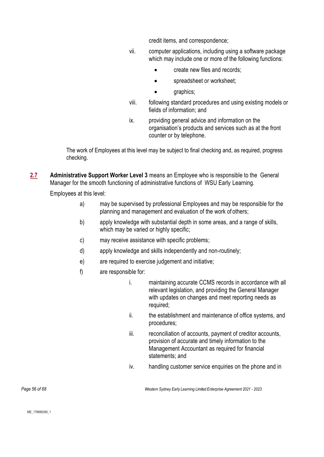credit items, and correspondence;

- vii. computer applications, including using a software package which may include one or more of the following functions:
	- create new files and records;
	- spreadsheet or worksheet;
	- graphics;
- viii. following standard procedures and using existing models or fields of information; and
- ix. providing general advice and information on the organisation's products and services such as at the front counter or by telephone.

The work of Employees at this level may be subject to final checking and, as required, progress checking.

**2.7 Administrative Support Worker Level 3** means an Employee who is responsible to the General Manager for the smooth functioning of administrative functions of WSU Early Learning.

Employees at this level:

- a) may be supervised by professional Employees and may be responsible for the planning and management and evaluation of the work of others;
- b) apply knowledge with substantial depth in some areas, and a range of skills, which may be varied or highly specific;
- c) may receive assistance with specific problems;
- d) apply knowledge and skills independently and non-routinely;
- e) are required to exercise judgement and initiative;
- f) are responsible for:
	- i. maintaining accurate CCMS records in accordance with all relevant legislation, and providing the General Manager with updates on changes and meet reporting needs as required;
	- ii. the establishment and maintenance of office systems, and procedures;
	- iii. reconciliation of accounts, payment of creditor accounts, provision of accurate and timely information to the Management Accountant as required for financial statements; and
	- iv. handling customer service enquiries on the phone and in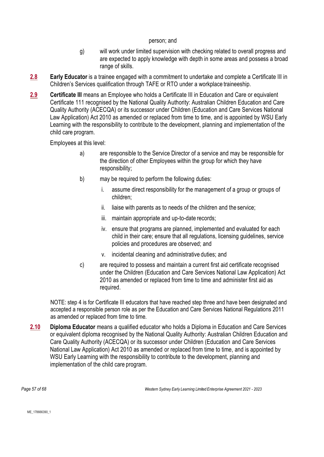#### person; and

- g) will work under limited supervision with checking related to overall progress and are expected to apply knowledge with depth in some areas and possess a broad range of skills.
- **2.8 Early Educator** is a trainee engaged with a commitment to undertake and complete a Certificate III in Children's Services qualification through TAFE or RTO under a workplace traineeship.
- **2.9 Certificate III** means an Employee who holds a Certificate III in Education and Care or equivalent Certificate 111 recognised by the National Quality Authority: Australian Children Education and Care Quality Authority (ACECQA) or its successor under Children (Education and Care Services National Law Application) Act 2010 as amended or replaced from time to time, and is appointed by WSU Early Learning with the responsibility to contribute to the development, planning and implementation of the child care program.

Employees at this level:

- a) are responsible to the Service Director of a service and may be responsible for the direction of other Employees within the group for which they have responsibility;
- b) may be required to perform the following duties:
	- i. assume direct responsibility for the management of a group or groups of children;
	- ii. liaise with parents as to needs of the children and the service;
	- iii. maintain appropriate and up-to-date records;
	- iv. ensure that programs are planned, implemented and evaluated for each child in their care; ensure that all regulations, licensing guidelines, service policies and procedures are observed; and
	- v. incidental cleaning and administrative duties; and
- c) are required to possess and maintain a current first aid certificate recognised under the Children (Education and Care Services National Law Application) Act 2010 as amended or replaced from time to time and administer first aid as required.

NOTE: step 4 is for Certificate III educators that have reached step three and have been designated and accepted a responsible person role as per the Education and Care Services National Regulations 2011 as amended or replaced from time to time.

**2.10 Diploma Educator** means a qualified educator who holds a Diploma in Education and Care Services or equivalent diploma recognised by the National Quality Authority: Australian Children Education and Care Quality Authority (ACECQA) or its successor under Children (Education and Care Services National Law Application) Act 2010 as amended or replaced from time to time, and is appointed by WSU Early Learning with the responsibility to contribute to the development, planning and implementation of the child care program.

*Page 57 of 68 Western Sydney Early Learning Limited Enterprise Agreement 2021 - 2023*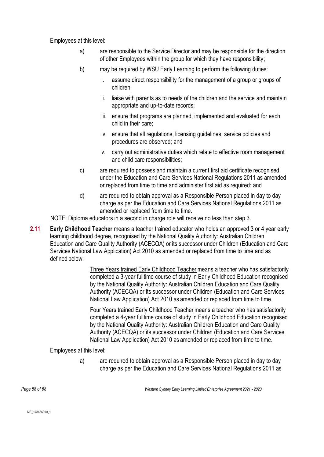Employees at this level:

- a) are responsible to the Service Director and may be responsible for the direction of other Employees within the group for which they have responsibility;
- b) may be required by WSU Early Learning to perform the following duties:
	- i. assume direct responsibility for the management of a group or groups of children;
	- ii. liaise with parents as to needs of the children and the service and maintain appropriate and up-to-date records;
	- iii. ensure that programs are planned, implemented and evaluated for each child in their care;
	- iv. ensure that all regulations, licensing guidelines, service policies and procedures are observed; and
	- v. carry out administrative duties which relate to effective room management and child care responsibilities;
- c) are required to possess and maintain a current first aid certificate recognised under the Education and Care Services National Regulations 2011 as amended or replaced from time to time and administer first aid as required; and
- d) are required to obtain approval as a Responsible Person placed in day to day charge as per the Education and Care Services National Regulations 2011 as amended or replaced from time to time.

NOTE: Diploma educators in a second in charge role will receive no less than step 3.

**2.11 Early Childhood Teacher** means a teacher trained educator who holds an approved 3 or 4 year early learning childhood degree, recognised by the National Quality Authority: Australian Children Education and Care Quality Authority (ACECQA) or its successor under Children (Education and Care Services National Law Application) Act 2010 as amended or replaced from time to time and as defined below:

> Three Years trained Early Childhood Teacher means a teacher who has satisfactorily completed a 3-year fulltime course of study in Early Childhood Education recognised by the National Quality Authority: Australian Children Education and Care Quality Authority (ACECQA) or its successor under Children (Education and Care Services National Law Application) Act 2010 as amended or replaced from time to time.

> Four Years trained Early Childhood Teacher means a teacher who has satisfactorily completed a 4-year fulltime course of study in Early Childhood Education recognised by the National Quality Authority: Australian Children Education and Care Quality Authority (ACECQA) or its successor under Children (Education and Care Services National Law Application) Act 2010 as amended or replaced from time to time.

Employees at this level:

a) are required to obtain approval as a Responsible Person placed in day to day charge as per the Education and Care Services National Regulations 2011 as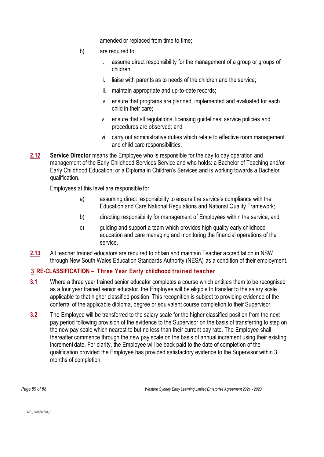amended or replaced from time to time;

- b) are required to:
	- i. assume direct responsibility for the management of a group or groups of children;
	- ii. liaise with parents as to needs of the children and the service;
	- iii. maintain appropriate and up-to-date records;
	- iv. ensure that programs are planned, implemented and evaluated for each child in their care;
	- v. ensure that all regulations, licensing guidelines; service policies and procedures are observed; and
	- vi. carry out administrative duties which relate to effective room management and child care responsibilities.
- **2.12 Service Director** means the Employee who is responsible for the day to day operation and management of the Early Childhood Services Service and who holds: a Bachelor of Teaching and/or Early Childhood Education; or a Diploma in Children's Services and is working towards a Bachelor qualification.

Employees at this level are responsible for:

- a) assuming direct responsibility to ensure the service's compliance with the Education and Care National Regulations and National Quality Framework;
- b) directing responsibility for management of Employees within the service; and
- c) guiding and support a team which provides high quality early childhood education and care managing and monitoring the financial operations of the service.
- **2.13** All teacher trained educators are required to obtain and maintain Teacher accreditation in NSW through New South Wales Education Standards Authority (NESA) as a condition of their employment.

#### **3 RE-CLASSIFICATION – Three Year Early childhood trained teacher**

- **3.1** Where a three year trained senior educator completes a course which entitles them to be recognised as a four year trained senior educator, the Employee will be eligible to transfer to the salary scale applicable to that higher classified position. This recognition is subject to providing evidence of the conferral of the applicable diploma, degree or equivalent course completion to their Supervisor.
- **3.2** The Employee will be transferred to the salary scale for the higher classified position from the next pay period following provision of the evidence to the Supervisor on the basis of transferring to step on the new pay scale which nearest to but no less than their current pay rate. The Employee shall thereafter commence through the new pay scale on the basis of annual increment using their existing increment date. For clarity, the Employee will be back paid to the date of completion of the qualification provided the Employee has provided satisfactory evidence to the Supervisor within 3 months of completion.

*Page 59 of 68 Western Sydney Early Learning Limited Enterprise Agreement 2021 - 2023*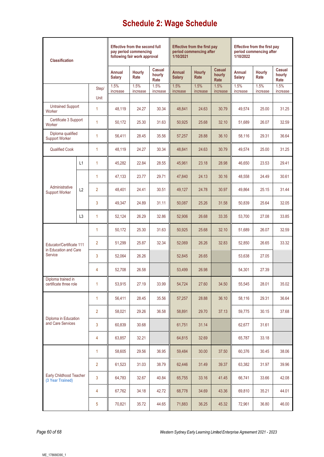# **Schedule 2: Wage Schedule**

| <b>Classification</b>                             |                | <b>Effective from the second full</b><br>pay period commencing<br>following fair work approval |                         |                  | <b>Effective from the first pay</b><br>period commencing after<br>1/10/2021 |                         |                       | <b>Effective from the first pay</b><br>period commencing after<br>1/10/2022 |                         |                       |                          |
|---------------------------------------------------|----------------|------------------------------------------------------------------------------------------------|-------------------------|------------------|-----------------------------------------------------------------------------|-------------------------|-----------------------|-----------------------------------------------------------------------------|-------------------------|-----------------------|--------------------------|
|                                                   |                |                                                                                                | Annual<br><b>Salary</b> | Hourly<br>Rate   | Casual<br>hourly<br>Rate                                                    | Annual<br><b>Salary</b> | <b>Hourly</b><br>Rate | <b>Casual</b><br>hourly<br>Rate                                             | Annual<br><b>Salary</b> | <b>Hourly</b><br>Rate | Casual<br>hourly<br>Rate |
|                                                   |                | Step/                                                                                          | 1.5%<br>increase        | 1.5%<br>increase | 1.5%<br>increase                                                            | 1.5%<br>increase        | 1.5%<br>increase      | 1.5%<br>increase                                                            | 1.5%<br>increase        | 1.5%<br>increase      | 1.5%<br>increase         |
|                                                   |                | Unit                                                                                           |                         |                  |                                                                             |                         |                       |                                                                             |                         |                       |                          |
| <b>Untrained Support</b><br>Worker                |                | 1                                                                                              | 48,119                  | 24.27            | 30.34                                                                       | 48,841                  | 24.63                 | 30.79                                                                       | 49,574                  | 25.00                 | 31.25                    |
| Certificate 3 Support<br>Worker                   |                | 1                                                                                              | 50,172                  | 25.30            | 31.63                                                                       | 50,925                  | 25.68                 | 32.10                                                                       | 51,689                  | 26.07                 | 32.59                    |
| Diploma qualified<br><b>Support Worker</b>        |                | 1                                                                                              | 56,411                  | 28.45            | 35.56                                                                       | 57,257                  | 28.88                 | 36.10                                                                       | 58,116                  | 29.31                 | 36.64                    |
| Qualified Cook                                    |                | 1                                                                                              | 48,119                  | 24.27            | 30.34                                                                       | 48,841                  | 24.63                 | 30.79                                                                       | 49,574                  | 25.00                 | 31.25                    |
|                                                   | L1             | 1                                                                                              | 45,282                  | 22.84            | 28.55                                                                       | 45,961                  | 23.18                 | 28.98                                                                       | 46,650                  | 23.53                 | 29.41                    |
|                                                   |                | 1                                                                                              | 47,133                  | 23.77            | 29.71                                                                       | 47,840                  | 24.13                 | 30.16                                                                       | 48,558                  | 24.49                 | 30.61                    |
| Administrative<br><b>Support Worker</b>           | L2             | $\overline{2}$                                                                                 | 48,401                  | 24.41            | 30.51                                                                       | 49,127                  | 24.78                 | 30.97                                                                       | 49,864                  | 25.15                 | 31.44                    |
|                                                   |                | 3                                                                                              | 49,347                  | 24.89            | 31.11                                                                       | 50,087                  | 25.26                 | 31.58                                                                       | 50,839                  | 25.64                 | 32.05                    |
|                                                   | L <sub>3</sub> | 1                                                                                              | 52,124                  | 26.29            | 32.86                                                                       | 52,906                  | 26.68                 | 33.35                                                                       | 53,700                  | 27.08                 | 33.85                    |
|                                                   |                | 1                                                                                              | 50,172                  | 25.30            | 31.63                                                                       | 50,925                  | 25.68                 | 32.10                                                                       | 51,689                  | 26.07                 | 32.59                    |
| Educator/Certificate 111<br>in Education and Care |                | $\overline{2}$                                                                                 | 51,299                  | 25.87            | 32.34                                                                       | 52,069                  | 26.26                 | 32.83                                                                       | 52,850                  | 26.65                 | 33.32                    |
| Service                                           |                | 3                                                                                              | 52,064                  | 26.26            |                                                                             | 52.845                  | 26.65                 |                                                                             | 53,638                  | 27.05                 |                          |
|                                                   |                | 4                                                                                              | 52,708                  | 26.58            |                                                                             | 53,499                  | 26.98                 |                                                                             | 54.301                  | 27.39                 |                          |
| Diploma trained in<br>certificate three role      |                | 1                                                                                              | 53,915                  | 27.19            | 33.99                                                                       | 54,724                  | 27.60                 | 34.50                                                                       | 55,545                  | 28.01                 | 35.02                    |
| Diploma in Education<br>and Care Services         |                | 1                                                                                              | 56,411                  | 28.45            | 35.56                                                                       | 57,257                  | 28.88                 | 36.10                                                                       | 58,116                  | 29.31                 | 36.64                    |
|                                                   |                | 2                                                                                              | 58,021                  | 29.26            | 36.58                                                                       | 58,891                  | 29.70                 | 37.13                                                                       | 59,775                  | 30.15                 | 37.68                    |
|                                                   |                | 3                                                                                              | 60,839                  | 30.68            |                                                                             | 61,751                  | 31.14                 |                                                                             | 62,677                  | 31.61                 |                          |
|                                                   |                | 4                                                                                              | 63,857                  | 32.21            |                                                                             | 64,815                  | 32.69                 |                                                                             | 65,787                  | 33.18                 |                          |
| Early Childhood Teacher<br>(3 Year Trained)       |                | 1                                                                                              | 58,605                  | 29.56            | 36.95                                                                       | 59,484                  | 30.00                 | 37.50                                                                       | 60,376                  | 30.45                 | 38.06                    |
|                                                   |                | 2                                                                                              | 61,523                  | 31.03            | 38.79                                                                       | 62,446                  | 31.49                 | 39.37                                                                       | 63,382                  | 31.97                 | 39.96                    |
|                                                   |                | 3                                                                                              | 64,783                  | 32.67            | 40.84                                                                       | 65,755                  | 33.16                 | 41.45                                                                       | 66,741                  | 33.66                 | 42.08                    |
|                                                   |                | 4                                                                                              | 67,762                  | 34.18            | 42.72                                                                       | 68,778                  | 34.69                 | 43.36                                                                       | 69,810                  | 35.21                 | 44.01                    |
|                                                   |                | 5                                                                                              | 70,821                  | 35.72            | 44.65                                                                       | 71,883                  | 36.25                 | 45.32                                                                       | 72,961                  | 36.80                 | 46.00                    |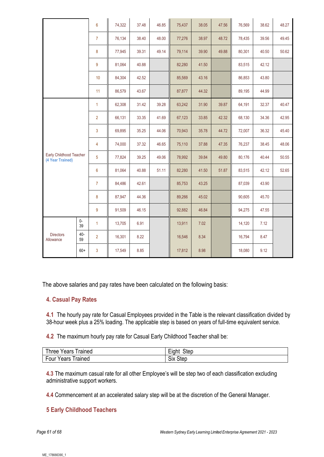|                                             |            | 6              | 74,322 | 37.48 | 46.85 | 75,437 | 38.05 | 47.56 | 76,569 | 38.62 | 48.27 |
|---------------------------------------------|------------|----------------|--------|-------|-------|--------|-------|-------|--------|-------|-------|
|                                             |            | $\overline{7}$ | 76,134 | 38.40 | 48.00 | 77,276 | 38.97 | 48.72 | 78,435 | 39.56 | 49.45 |
|                                             |            | 8              | 77,945 | 39.31 | 49.14 | 79,114 | 39.90 | 49.88 | 80,301 | 40.50 | 50.62 |
|                                             |            | 9              | 81,064 | 40.88 |       | 82,280 | 41.50 |       | 83,515 | 42.12 |       |
|                                             |            | 10             | 84,304 | 42.52 |       | 85,569 | 43.16 |       | 86,853 | 43.80 |       |
|                                             |            | 11             | 86,579 | 43.67 |       | 87,877 | 44.32 |       | 89,195 | 44.99 |       |
| Early Childhood Teacher<br>(4 Year Trained) |            | $\mathbf{1}$   | 62,308 | 31.42 | 39.28 | 63,242 | 31.90 | 39.87 | 64,191 | 32.37 | 40.47 |
|                                             |            | $\overline{2}$ | 66,131 | 33.35 | 41.69 | 67,123 | 33.85 | 42.32 | 68,130 | 34.36 | 42.95 |
|                                             |            | 3              | 69,895 | 35.25 | 44.06 | 70,943 | 35.78 | 44.72 | 72,007 | 36.32 | 45.40 |
|                                             |            | 4              | 74,000 | 37.32 | 46.65 | 75,110 | 37.88 | 47.35 | 76,237 | 38.45 | 48.06 |
|                                             |            | 5              | 77,824 | 39.25 | 49.06 | 78,992 | 39.84 | 49.80 | 80,176 | 40.44 | 50.55 |
|                                             |            | 6              | 81,064 | 40.88 | 51.11 | 82,280 | 41.50 | 51.87 | 83,515 | 42.12 | 52.65 |
|                                             |            | $\overline{7}$ | 84,486 | 42.61 |       | 85,753 | 43.25 |       | 87,039 | 43.90 |       |
|                                             |            | 8              | 87,947 | 44.36 |       | 89,266 | 45.02 |       | 90,605 | 45.70 |       |
|                                             |            | 9              | 91,509 | 46.15 |       | 92,882 | 46.84 |       | 94,275 | 47.55 |       |
|                                             | $0-$<br>39 | $\mathbf{1}$   | 13,705 | 6.91  |       | 13,911 | 7.02  |       | 14,120 | 7.12  |       |
| <b>Directors</b><br>Allowance               | 40-<br>59  | $\overline{2}$ | 16,301 | 8.22  |       | 16,546 | 8.34  |       | 16,794 | 8.47  |       |
|                                             | $60+$      | 3              | 17,549 | 8.85  |       | 17,812 | 8.98  |       | 18,080 | 9.12  |       |

The above salaries and pay rates have been calculated on the following basis:

#### **4. Casual Pay Rates**

**4.1** The hourly pay rate for Casual Employees provided in the Table is the relevant classification divided by 38-hour week plus a 25% loading. The applicable step is based on years of full-time equivalent service.

**4.2** The maximum hourly pay rate for Casual Early Childhood Teacher shall be:

| ′ears<br>hree<br>rained | $- \cdot$<br>Step<br>- |
|-------------------------|------------------------|
| Four                    | <b>.</b>               |
| rained                  | Step                   |
| 'ears                   | SIX                    |

**4.3** The maximum casual rate for all other Employee's will be step two of each classification excluding administrative support workers.

**4.4** Commencement at an accelerated salary step will be at the discretion of the General Manager.

#### **5 Early Childhood Teachers**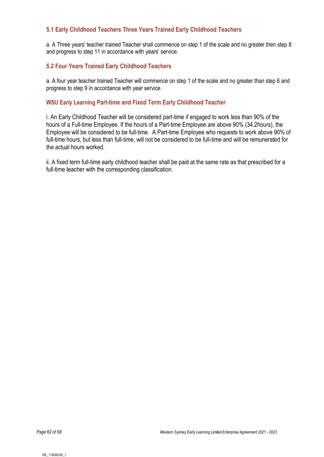#### **5.1 Early Childhood Teachers Three Years Trained Early Childhood Teachers**

a. A Three years' teacher trained Teacher shall commence on step 1 of the scale and no greater then step 8 and progress to step 11 in accordance with years' service.

#### **5.2 Four Years Trained Early Childhood Teachers**

a. A four year teacher trained Teacher will commence on step 1 of the scale and no greater than step 6 and progress to step 9 in accordance with year service.

#### **WSU Early Learning Part-time and Fixed Term Early Childhood Teacher**

i. An Early Childhood Teacher will be considered part-time if engaged to work less than 90% of the hours of a Full-time Employee. If the hours of a Part-time Employee are above 90% (34.2hours), the Employee will be considered to be full-time. A Part-time Employee who requests to work above 90% of full-time hours, but less than full-time, will not be considered to be full-time and will be remunerated for the actual hours worked.

ii. A fixed term full-time early childhood teacher shall be paid at the same rate as that prescribed for a full-time teacher with the corresponding classification.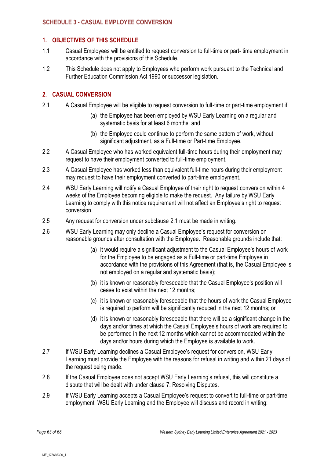#### **SCHEDULE 3 - CASUAL EMPLOYEE CONVERSION**

#### **1. OBJECTIVES OF THIS SCHEDULE**

- 1.1 Casual Employees will be entitled to request conversion to full-time or part- time employment in accordance with the provisions of this Schedule.
- 1.2 This Schedule does not apply to Employees who perform work pursuant to the Technical and Further Education Commission Act 1990 or successor legislation.

#### **2. CASUAL CONVERSION**

- 2.1 A Casual Employee will be eligible to request conversion to full-time or part-time employment if:
	- (a) the Employee has been employed by WSU Early Learning on a regular and systematic basis for at least 6 months; and
	- (b) the Employee could continue to perform the same pattern of work, without significant adjustment, as a Full-time or Part-time Employee.
- 2.2 A Casual Employee who has worked equivalent full-time hours during their employment may request to have their employment converted to full-time employment.
- 2.3 A Casual Employee has worked less than equivalent full-time hours during their employment may request to have their employment converted to part-time employment.
- 2.4 WSU Early Learning will notify a Casual Employee of their right to request conversion within 4 weeks of the Employee becoming eligible to make the request. Any failure by WSU Early Learning to comply with this notice requirement will not affect an Employee's right to request conversion.
- 2.5 Any request for conversion under subclause 2.1 must be made in writing.
- 2.6 WSU Early Learning may only decline a Casual Employee's request for conversion on reasonable grounds after consultation with the Employee. Reasonable grounds include that:
	- (a) it would require a significant adjustment to the Casual Employee's hours of work for the Employee to be engaged as a Full-time or part-time Employee in accordance with the provisions of this Agreement (that is, the Casual Employee is not employed on a regular and systematic basis);
	- (b) it is known or reasonably foreseeable that the Casual Employee's position will cease to exist within the next 12 months;
	- (c) it is known or reasonably foreseeable that the hours of work the Casual Employee is required to perform will be significantly reduced in the next 12 months; or
	- (d) it is known or reasonably foreseeable that there will be a significant change in the days and/or times at which the Casual Employee's hours of work are required to be performed in the next 12 months which cannot be accommodated within the days and/or hours during which the Employee is available to work.
- 2.7 If WSU Early Learning declines a Casual Employee's request for conversion, WSU Early Learning must provide the Employee with the reasons for refusal in writing and within 21 days of the request being made.
- 2.8 If the Casual Employee does not accept WSU Early Learning's refusal, this will constitute a dispute that will be dealt with under clause [7:](#page-7-0) Resolving Disputes.
- 2.9 If WSU Early Learning accepts a Casual Employee's request to convert to full-time or part-time employment, WSU Early Learning and the Employee will discuss and record in writing: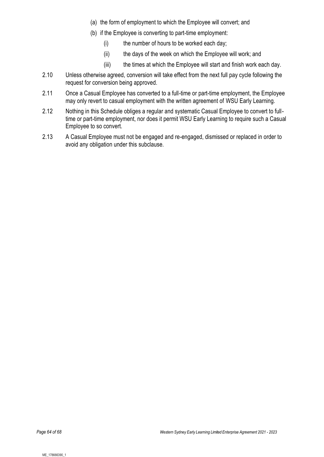- (a) the form of employment to which the Employee will convert; and
- (b) if the Employee is converting to part-time employment:
	- (i) the number of hours to be worked each day;
	- (ii) the days of the week on which the Employee will work; and
	- (iii) the times at which the Employee will start and finish work each day.
- 2.10 Unless otherwise agreed, conversion will take effect from the next full pay cycle following the request for conversion being approved.
- 2.11 Once a Casual Employee has converted to a full-time or part-time employment, the Employee may only revert to casual employment with the written agreement of WSU Early Learning.
- 2.12 Nothing in this Schedule obliges a regular and systematic Casual Employee to convert to fulltime or part-time employment, nor does it permit WSU Early Learning to require such a Casual Employee to so convert.
- 2.13 A Casual Employee must not be engaged and re-engaged, dismissed or replaced in order to avoid any obligation under this subclause.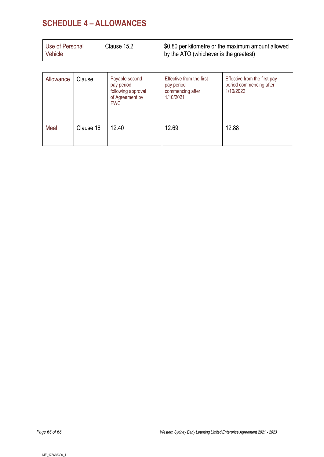## **SCHEDULE 4 – ALLOWANCES**

| Use of Personal<br>Vehicle | Clause 15.2 | \$0.80 per kilometre or the maximum amount allowed<br>by the ATO (whichever is the greatest) |
|----------------------------|-------------|----------------------------------------------------------------------------------------------|
|                            |             |                                                                                              |

| Allowance | Clause    | Payable second<br>pay period<br>following approval<br>of Agreement by<br><b>FWC</b> | Effective from the first<br>pay period<br>commencing after<br>1/10/2021 | Effective from the first pay<br>period commencing after<br>1/10/2022 |
|-----------|-----------|-------------------------------------------------------------------------------------|-------------------------------------------------------------------------|----------------------------------------------------------------------|
| Meal      | Clause 16 | 12.40                                                                               | 12.69                                                                   | 12.88                                                                |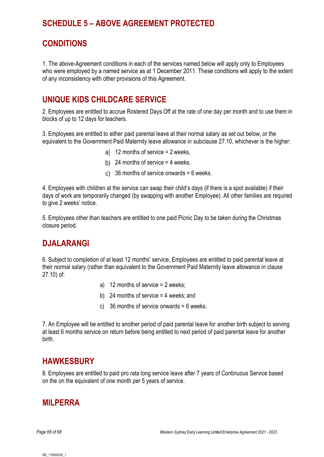### **SCHEDULE 5 – ABOVE AGREEMENT PROTECTED**

### **CONDITIONS**

1. The above-Agreement conditions in each of the services named below will apply only to Employees who were employed by a named service as at 1 December 2011. These conditions will apply to the extent of any inconsistency with other provisions of this Agreement.

### **UNIQUE KIDS CHILDCARE SERVICE**

2. Employees are entitled to accrue Rostered Days Off at the rate of one day per month and to use them in blocks of up to 12 days for teachers.

3. Employees are entitled to either paid parental leave at their normal salary as set out below, or the equivalent to the Government Paid Maternity leave allowance in subclause [27.10,](#page-22-0) whichever is the higher:

- a) 12 months of service  $= 2$  weeks,
- b) 24 months of service  $=$  4 weeks,
- c) 36 months of service onwards  $= 6$  weeks.

4. Employees with children at the service can swap their child's days (if there is a spot available) if their days of work are temporarily changed (by swapping with another Employee). All other families are required to give 2 weeks' notice.

5. Employees other than teachers are entitled to one paid Picnic Day to be taken during the Christmas closure period.

### **DJALARANGI**

6. Subject to completion of at least 12 months' service, Employees are entitled to paid parental leave at their normal salary (rather than equivalent to the Government Paid Maternity leave allowance in clause [27.10\)](#page-22-1) of:

- a) 12 months of service = 2 weeks;
- b) 24 months of service  $=$  4 weeks; and
- c) 36 months of service onwards = 6 weeks.

7. An Employee will be entitled to another period of paid parental leave for another birth subject to serving at least 6 months service on return before being entitled to next period of paid parental leave for another birth.

### **HAWKESBURY**

8. Employees are entitled to paid pro rata long service leave after 7 years of Continuous Service based on the on the equivalent of one month per 5 years of service.

### **MILPERRA**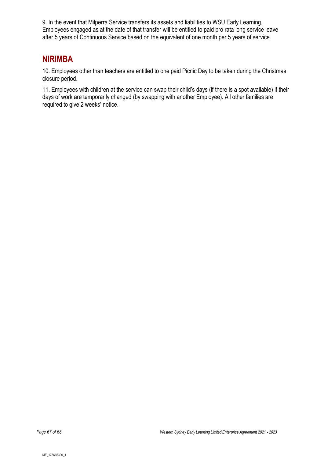9. In the event that Milperra Service transfers its assets and liabilities to WSU Early Learning, Employees engaged as at the date of that transfer will be entitled to paid pro rata long service leave after 5 years of Continuous Service based on the equivalent of one month per 5 years of service.

### **NIRIMBA**

10. Employees other than teachers are entitled to one paid Picnic Day to be taken during the Christmas closure period.

11. Employees with children at the service can swap their child's days (if there is a spot available) if their days of work are temporarily changed (by swapping with another Employee). All other families are required to give 2 weeks' notice.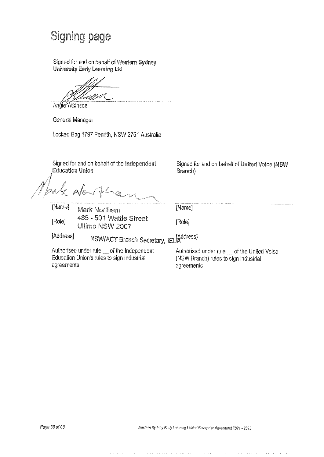# **Signing page**

Signed for and on behalf of Western Sydney **University Early Learning Ltd** 

Andie Atkinson

General Manager

Locked Bag 1797 Penrith, NSW 2751 Australia

Signed for and on behalf of the Independent **Education Union** 

Signed for and on behalf of United Voice (NSW **Branch**)

[Name] **Mark Northam** 485 - 501 Wattle Street [Role] Ultimo NSW 2007

[Name]

[Role]

[Address]

NSWIACT Branch Secretary, IEUAddress]

Authorised under rule \_ of the Independent Education Union's rules to sign industrial agreements

Authorised under rule \_ of the United Voice (NSW Branch) rules to sign industrial agreements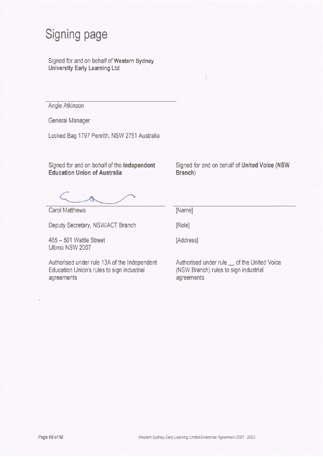# Signing page

Signed for and on behalf of Western Sydney University Early Learning Ltd

Angie Atkinson

General Manager

Locked Bag 1797 Penrith, NSW 2751 Australia

Signed for and on behalf of the Independent **Education Union of Australia** 

Signed for and on behalf of United Voice (NSW Branch)

**Carol Matthews** 

Deputy Secretary, NSW/ACT Branch

[Name] [Role]

[Address]

485 - 501 Wattle Street Ultimo NSW 2007

Authorised under rule 13A of the Independent Education Union's rules to sign industrial agreements

Authorised under rule \_ of the United Voice (NSW Branch) rules to sign industrial agreements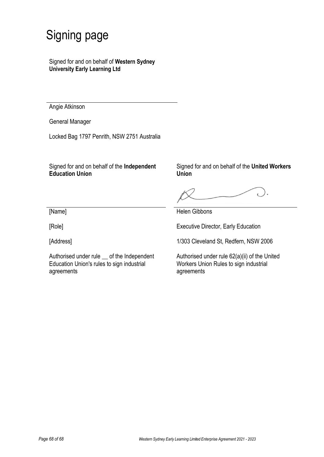# Signing page

Signed for and on behalf of **Western Sydney University Early Learning Ltd**

Angie Atkinson

General Manager

Locked Bag 1797 Penrith, NSW 2751 Australia

Signed for and on behalf of the **Independent Education Union** 

Signed for and on behalf of the **United Workers Union**

[Name]

[Role]

[Address]

Authorised under rule \_\_ of the Independent Education Union's rules to sign industrial agreements

Helen Gibbons

Executive Director, Early Education

1/303 Cleveland St, Redfern, NSW 2006

Authorised under rule 62(a)(ii) of the United Workers Union Rules to sign industrial agreements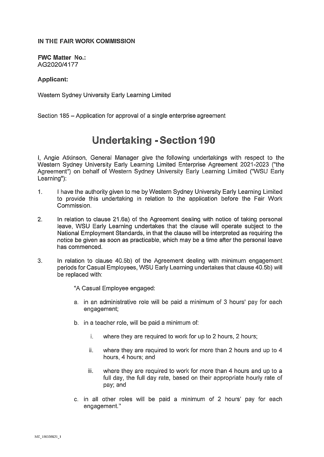#### IN THE FAIR WORK COMMISSION

**FWC Matter No.:** AG2020/4177

#### Applicant:

Western Sydney University Early Learning Limited

Section 185 – Application for approval of a single enterprise agreement

## **Undertaking - Section 190**

I, Angie Atkinson, General Manager give the following undertakings with respect to the Western Sydney University Early Learning Limited Enterprise Agreement 2021-2023 ("the Agreement") on behalf of Western Sydney University Early Learning Limited ("WSU Early Learning"):

- $\mathbf{1}$ . I have the authority given to me by Western Sydney University Early Learning Limited to provide this undertaking in relation to the application before the Fair Work Commission.
- $2.$ In relation to clause 21.6a) of the Agreement dealing with notice of taking personal leave, WSU Early Learning undertakes that the clause will operate subject to the National Employment Standards, in that the clause will be interpreted as requiring the notice be given as soon as practicable, which may be a time after the personal leave has commenced.
- In relation to clause 40.5b) of the Agreement dealing with minimum engagement 3. periods for Casual Employees, WSU Early Learning undertakes that clause 40.5b) will be replaced with:

"A Casual Employee engaged:

- a. in an administrative role will be paid a minimum of 3 hours' pay for each engagement:
- b. in a teacher role, will be paid a minimum of:
	- where they are required to work for up to 2 hours, 2 hours; i.
	- ii. where they are required to work for more than 2 hours and up to 4 hours, 4 hours; and
	- where they are required to work for more than 4 hours and up to a iii. full day, the full day rate, based on their appropriate hourly rate of pay; and
- c. in all other roles will be paid a minimum of 2 hours' pay for each engagement."